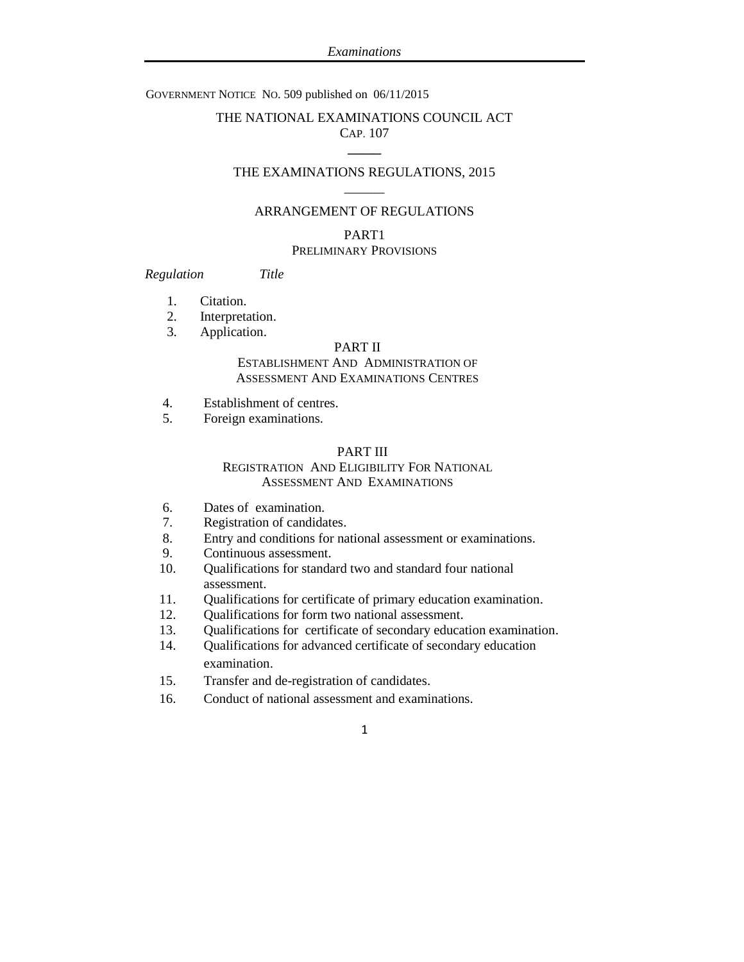### GOVERNMENT NOTICE NO. 509 published on 06/11/2015

## THE NATIONAL EXAMINATIONS COUNCIL ACT CAP. 107 **\_\_\_\_\_**

### THE EXAMINATIONS REGULATIONS, 2015  $\overline{\phantom{a}}$

#### ARRANGEMENT OF REGULATIONS

# PART1

## PRELIMINARY PROVISIONS

## *Regulation Title*

- 1. Citation.
- 2. Interpretation.
- 3. Application.

## PART II

### ESTABLISHMENT AND ADMINISTRATION OF ASSESSMENT AND EXAMINATIONS CENTRES

- 4. Establishment of centres.
- 5. Foreign examinations.

#### PART III

## REGISTRATION AND ELIGIBILITY FOR NATIONAL ASSESSMENT AND EXAMINATIONS

- 6. Dates of examination.
- 7. Registration of candidates.
- 8. Entry and conditions for national assessment or examinations.
- 9. Continuous assessment.
- 10. Qualifications for standard two and standard four national assessment.
- 11. Qualifications for certificate of primary education examination.
- 12. Qualifications for form two national assessment.
- 13. Qualifications for certificate of secondary education examination.
- 14. Qualifications for advanced certificate of secondary education examination.
- 15. Transfer and de-registration of candidates.
- 16. Conduct of national assessment and examinations.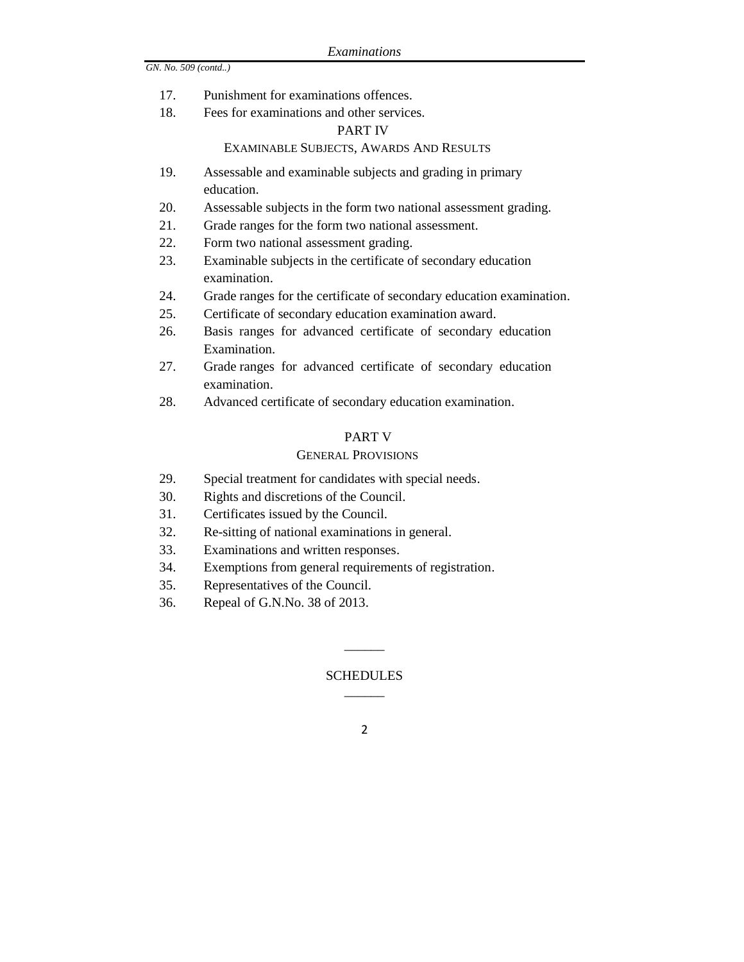- 17. Punishment for examinations offences.
- 18. Fees for examinations and other services.

### PART IV

## EXAMINABLE SUBJECTS, AWARDS AND RESULTS

- 19. Assessable and examinable subjects and grading in primary education.
- 20. Assessable subjects in the form two national assessment grading.
- 21. Grade ranges for the form two national assessment.
- 22. Form two national assessment grading.
- 23. Examinable subjects in the certificate of secondary education examination.
- 24. Grade ranges for the certificate of secondary education examination.
- 25. Certificate of secondary education examination award.
- 26. Basis ranges for advanced certificate of secondary education Examination.
- 27. Grade ranges for advanced certificate of secondary education examination.
- 28. Advanced certificate of secondary education examination.

#### PART V

#### GENERAL PROVISIONS

- 29. Special treatment for candidates with special needs.
- 30. Rights and discretions of the Council.
- 31. Certificates issued by the Council.
- 32. Re-sitting of national examinations in general.
- 33. Examinations and written responses.
- 34. Exemptions from general requirements of registration.
- 35. Representatives of the Council.
- 36. Repeal of G.N.No. 38 of 2013.

## **SCHEDULES**  $\overline{\phantom{a}}$

 $\overline{\phantom{a}}$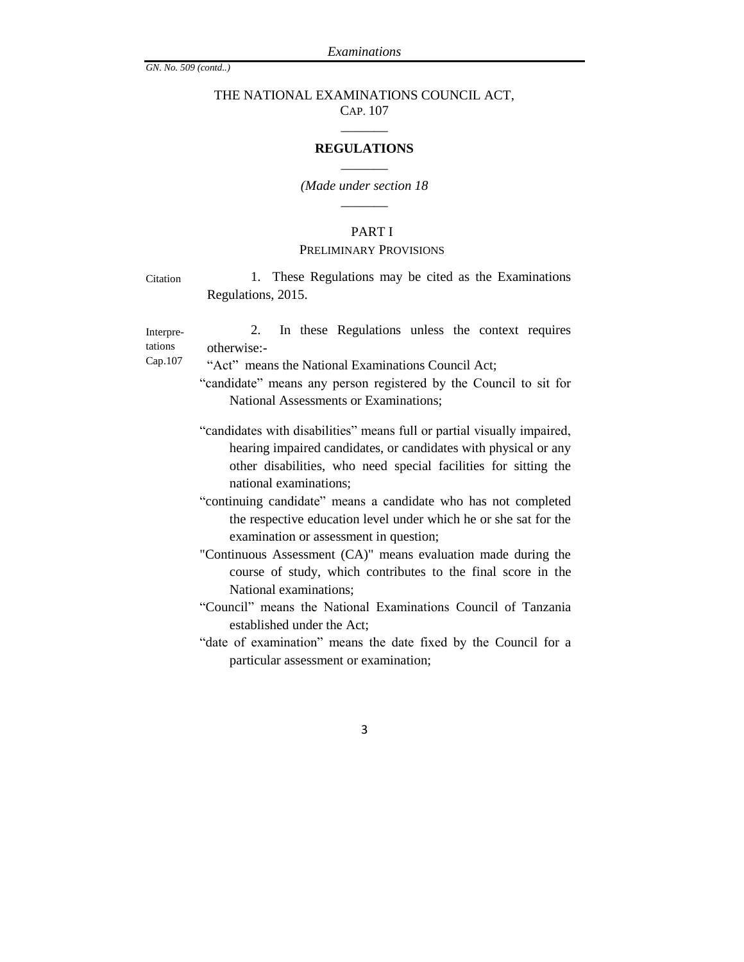## THE NATIONAL EXAMINATIONS COUNCIL ACT, CAP. 107

# \_\_\_\_\_\_\_ **REGULATIONS** \_\_\_\_\_\_\_

### *(Made under section 18*  $\overline{\phantom{a}}$

### PART I

#### PRELIMINARY PROVISIONS

| Citation |                    |  |  |  | 1. These Regulations may be cited as the Examinations |
|----------|--------------------|--|--|--|-------------------------------------------------------|
|          | Regulations, 2015. |  |  |  |                                                       |

Interpretations 2. In these Regulations unless the context requires otherwise:-

Cap.107

"Act" means the National Examinations Council Act;

- "candidate" means any person registered by the Council to sit for National Assessments or Examinations;
- "candidates with disabilities" means full or partial visually impaired, hearing impaired candidates, or candidates with physical or any other disabilities, who need special facilities for sitting the national examinations;
- "continuing candidate" means a candidate who has not completed the respective education level under which he or she sat for the examination or assessment in question;

"Continuous Assessment (CA)" means evaluation made during the course of study, which contributes to the final score in the National examinations;

"Council" means the National Examinations Council of Tanzania established under the Act;

"date of examination" means the date fixed by the Council for a particular assessment or examination;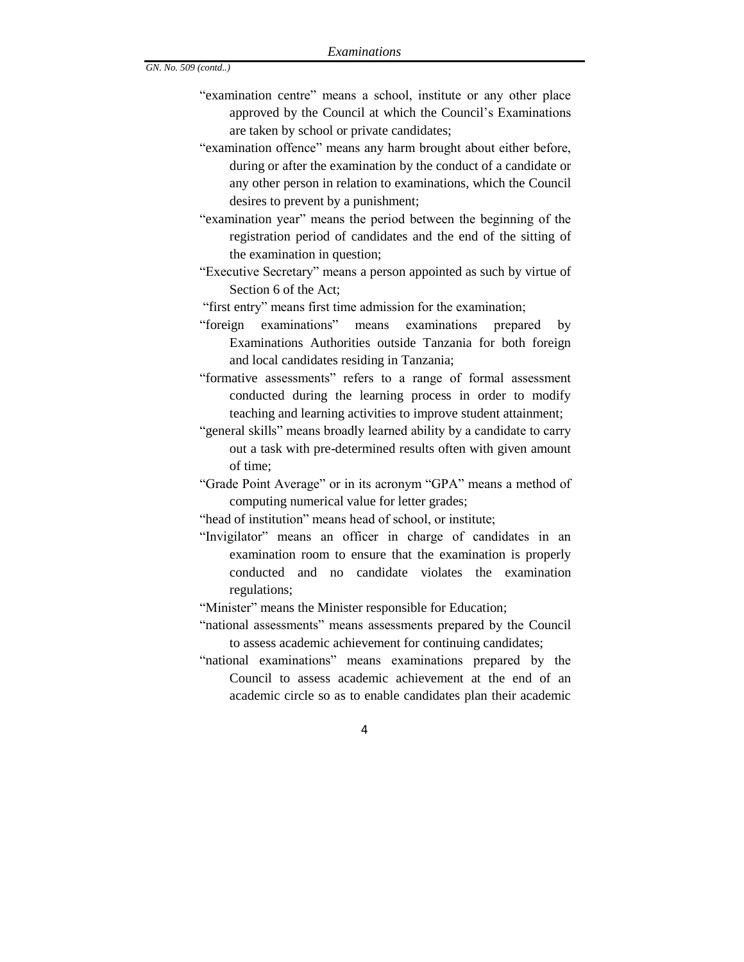- "examination centre" means a school, institute or any other place approved by the Council at which the Council's Examinations are taken by school or private candidates;
- "examination offence" means any harm brought about either before, during or after the examination by the conduct of a candidate or any other person in relation to examinations, which the Council desires to prevent by a punishment;
- "examination year" means the period between the beginning of the registration period of candidates and the end of the sitting of the examination in question;
- "Executive Secretary" means a person appointed as such by virtue of Section 6 of the Act;
- "first entry" means first time admission for the examination;
- "foreign examinations" means examinations prepared by Examinations Authorities outside Tanzania for both foreign and local candidates residing in Tanzania;
- "formative assessments" refers to a range of formal assessment conducted during the learning process in order to modify teaching and learning activities to improve student attainment;
- "general skills" means broadly learned ability by a candidate to carry out a task with pre-determined results often with given amount of time;
- "Grade Point Average" or in its acronym "GPA" means a method of computing numerical value for letter grades;
- "head of institution" means head of school, or institute;
- "Invigilator" means an officer in charge of candidates in an examination room to ensure that the examination is properly conducted and no candidate violates the examination regulations;
- "Minister" means the Minister responsible for Education;
- "national assessments" means assessments prepared by the Council to assess academic achievement for continuing candidates;
- "national examinations" means examinations prepared by the Council to assess academic achievement at the end of an academic circle so as to enable candidates plan their academic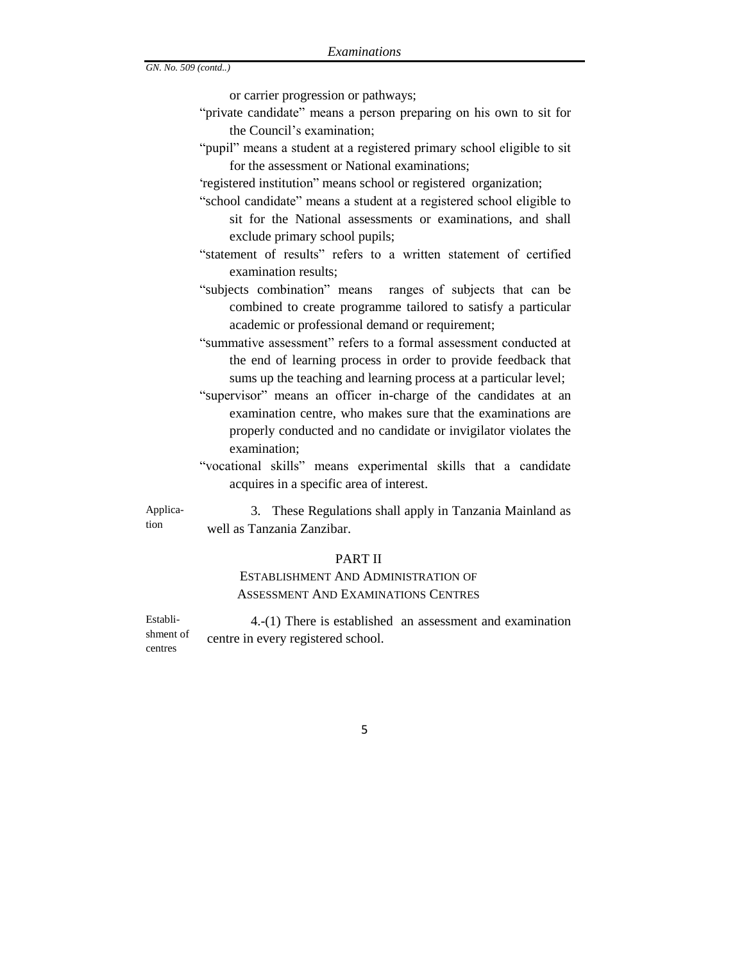or carrier progression or pathways;

- "private candidate" means a person preparing on his own to sit for the Council's examination;
- "pupil" means a student at a registered primary school eligible to sit for the assessment or National examinations;

"registered institution" means school or registered organization;

- "school candidate" means a student at a registered school eligible to sit for the National assessments or examinations, and shall exclude primary school pupils;
- "statement of results" refers to a written statement of certified examination results;
- "subjects combination" means ranges of subjects that can be combined to create programme tailored to satisfy a particular academic or professional demand or requirement;
- "summative assessment" refers to a formal assessment conducted at the end of learning process in order to provide feedback that sums up the teaching and learning process at a particular level;
- "supervisor" means an officer in-charge of the candidates at an examination centre, who makes sure that the examinations are properly conducted and no candidate or invigilator violates the examination;
- "vocational skills" means experimental skills that a candidate acquires in a specific area of interest.

3.These Regulations shall apply in Tanzania Mainland as well as Tanzania Zanzibar. Application

#### PART II

## ESTABLISHMENT AND ADMINISTRATION OF ASSESSMENT AND EXAMINATIONS CENTRES

Establishment of centres 4.-(1) There is established an assessment and examination centre in every registered school.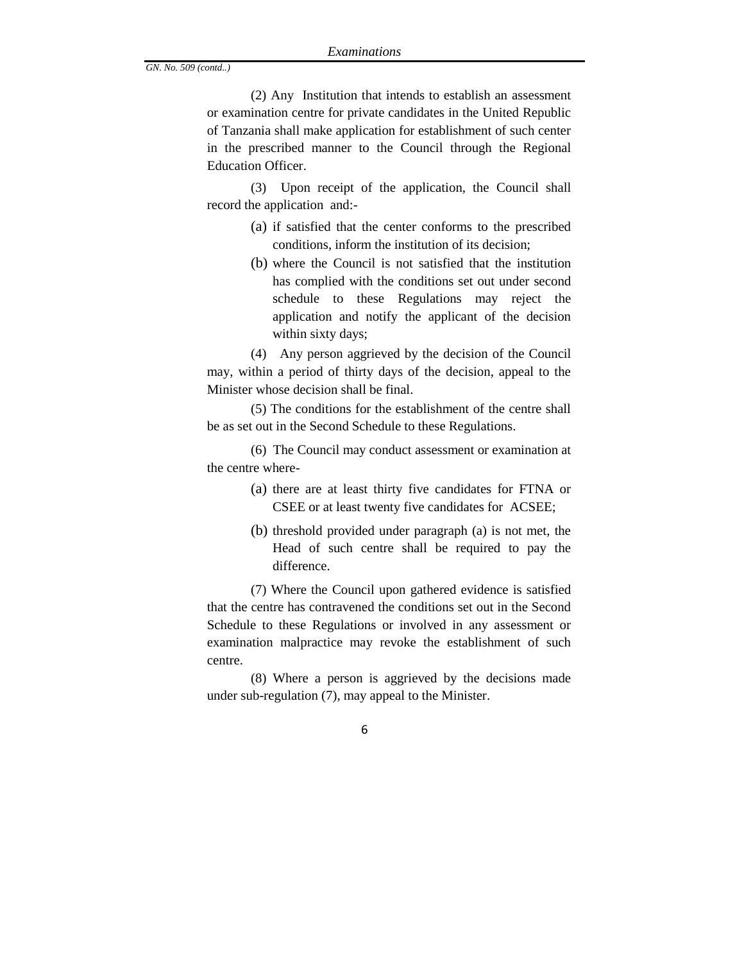(2) Any Institution that intends to establish an assessment or examination centre for private candidates in the United Republic of Tanzania shall make application for establishment of such center in the prescribed manner to the Council through the Regional Education Officer.

(3) Upon receipt of the application, the Council shall record the application and:-

- (a) if satisfied that the center conforms to the prescribed conditions, inform the institution of its decision;
- (b) where the Council is not satisfied that the institution has complied with the conditions set out under second schedule to these Regulations may reject the application and notify the applicant of the decision within sixty days;

(4) Any person aggrieved by the decision of the Council may, within a period of thirty days of the decision, appeal to the Minister whose decision shall be final.

(5) The conditions for the establishment of the centre shall be as set out in the Second Schedule to these Regulations.

(6) The Council may conduct assessment or examination at the centre where-

- (a) there are at least thirty five candidates for FTNA or CSEE or at least twenty five candidates for ACSEE;
- (b) threshold provided under paragraph (a) is not met, the Head of such centre shall be required to pay the difference.

(7) Where the Council upon gathered evidence is satisfied that the centre has contravened the conditions set out in the Second Schedule to these Regulations or involved in any assessment or examination malpractice may revoke the establishment of such centre.

(8) Where a person is aggrieved by the decisions made under sub-regulation (7), may appeal to the Minister.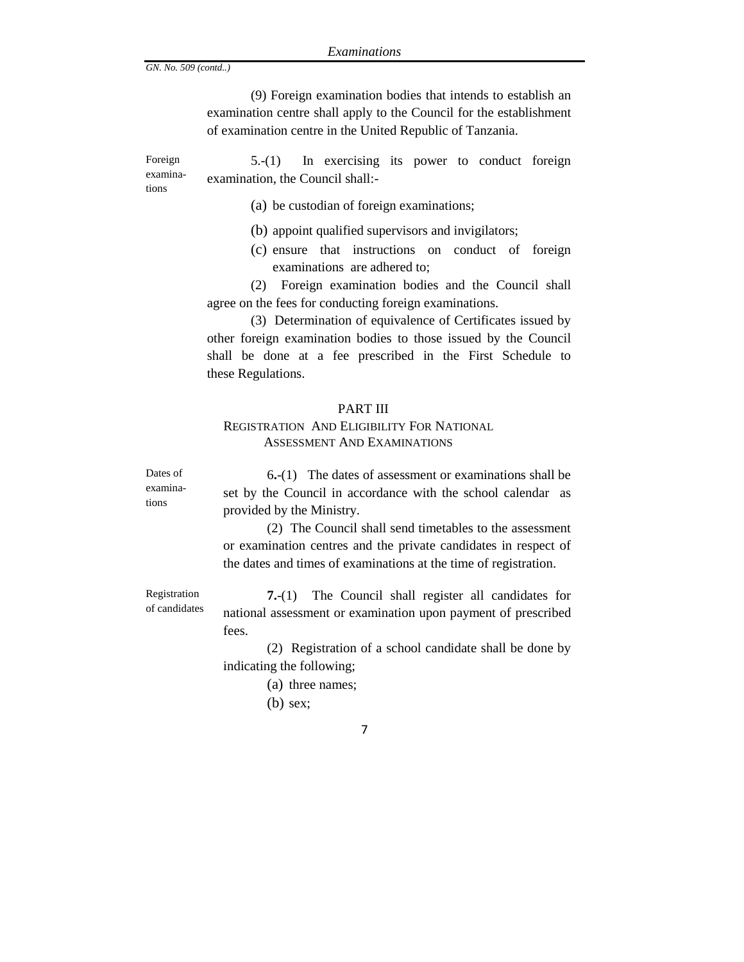Dates of examinations

Registration of candidates

(9) Foreign examination bodies that intends to establish an examination centre shall apply to the Council for the establishment of examination centre in the United Republic of Tanzania.

Foreign examinations 5.-(1) In exercising its power to conduct foreign examination, the Council shall:-

- (a) be custodian of foreign examinations;
- (b) appoint qualified supervisors and invigilators;
- (c) ensure that instructions on conduct of foreign examinations are adhered to;

(2) Foreign examination bodies and the Council shall agree on the fees for conducting foreign examinations.

(3) Determination of equivalence of Certificates issued by other foreign examination bodies to those issued by the Council shall be done at a fee prescribed in the First Schedule to these Regulations.

### PART III

### REGISTRATION AND ELIGIBILITY FOR NATIONAL ASSESSMENT AND EXAMINATIONS

6**.**-(1) The dates of assessment or examinations shall be set by the Council in accordance with the school calendar as provided by the Ministry.

(2) The Council shall send timetables to the assessment or examination centres and the private candidates in respect of the dates and times of examinations at the time of registration.

**7.**-(1) The Council shall register all candidates for national assessment or examination upon payment of prescribed fees.

(2) Registration of a school candidate shall be done by indicating the following;

- (a) three names;
- (b) sex;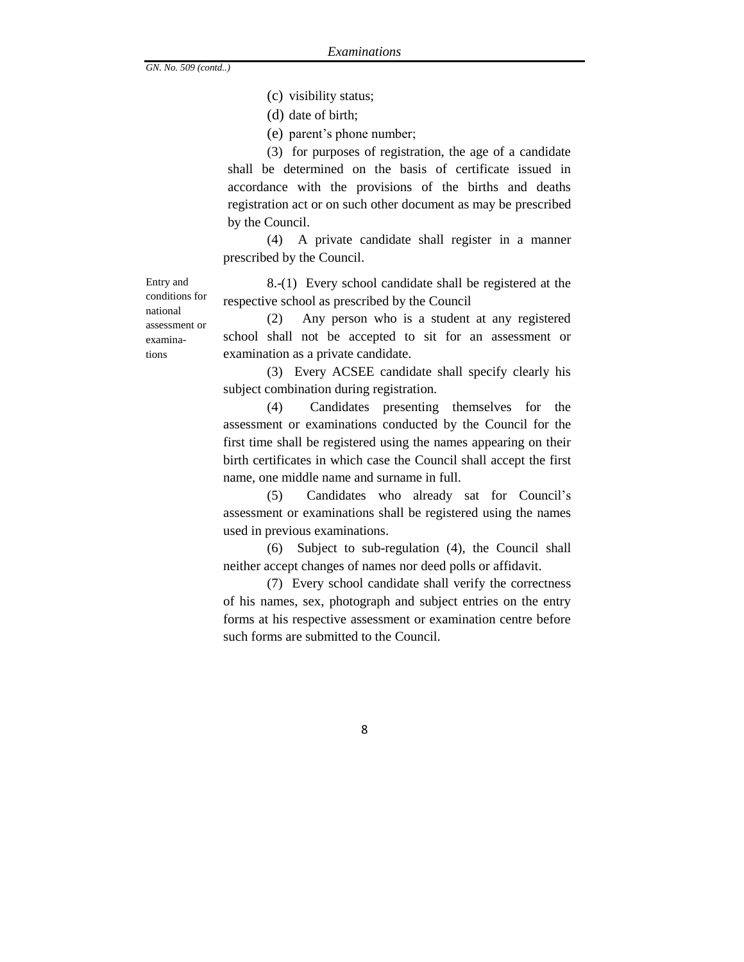(c) visibility status;

(d) date of birth;

(e) parent's phone number;

(3) for purposes of registration, the age of a candidate shall be determined on the basis of certificate issued in accordance with the provisions of the births and deaths registration act or on such other document as may be prescribed by the Council.

(4) A private candidate shall register in a manner prescribed by the Council.

8.-(1) Every school candidate shall be registered at the respective school as prescribed by the Council

(2) Any person who is a student at any registered school shall not be accepted to sit for an assessment or examination as a private candidate.

(3) Every ACSEE candidate shall specify clearly his subject combination during registration.

(4) Candidates presenting themselves for the assessment or examinations conducted by the Council for the first time shall be registered using the names appearing on their birth certificates in which case the Council shall accept the first name, one middle name and surname in full.

(5) Candidates who already sat for Council's assessment or examinations shall be registered using the names used in previous examinations.

(6) Subject to sub-regulation (4), the Council shall neither accept changes of names nor deed polls or affidavit.

(7) Every school candidate shall verify the correctness of his names, sex, photograph and subject entries on the entry forms at his respective assessment or examination centre before such forms are submitted to the Council.

Entry and conditions for national assessment or examinations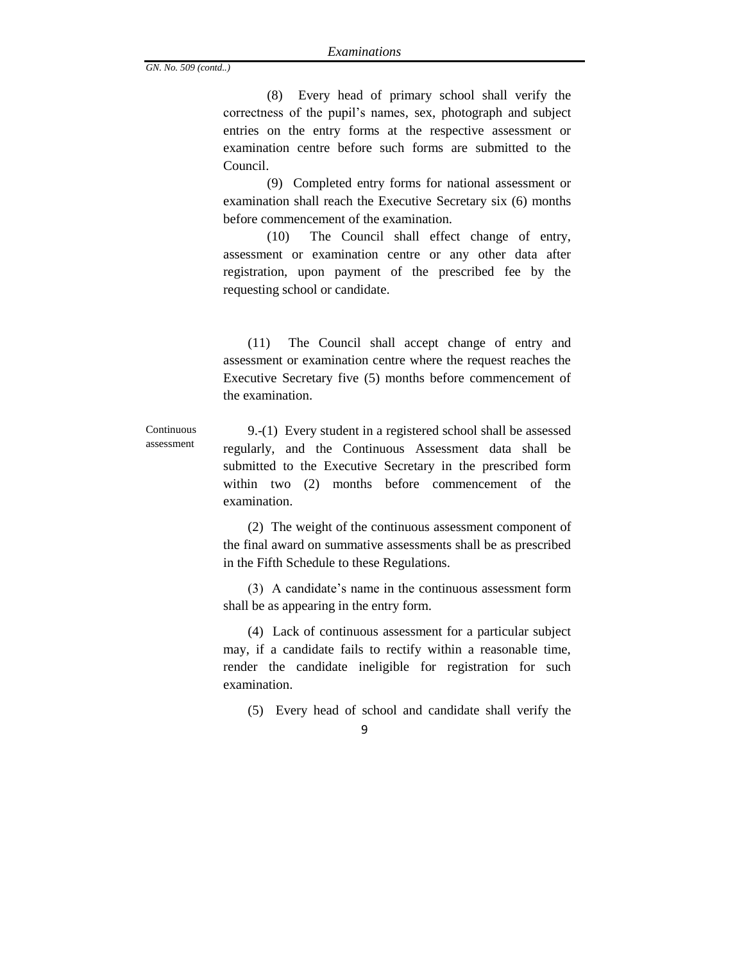(8) Every head of primary school shall verify the correctness of the pupil's names, sex, photograph and subject entries on the entry forms at the respective assessment or examination centre before such forms are submitted to the Council.

(9) Completed entry forms for national assessment or examination shall reach the Executive Secretary six (6) months before commencement of the examination.

(10) The Council shall effect change of entry, assessment or examination centre or any other data after registration, upon payment of the prescribed fee by the requesting school or candidate.

(11) The Council shall accept change of entry and assessment or examination centre where the request reaches the Executive Secretary five (5) months before commencement of the examination.

**Continuous** assessment 9.-(1) Every student in a registered school shall be assessed regularly, and the Continuous Assessment data shall be submitted to the Executive Secretary in the prescribed form within two (2) months before commencement of the examination.

> (2) The weight of the continuous assessment component of the final award on summative assessments shall be as prescribed in the Fifth Schedule to these Regulations.

> (3) A candidate's name in the continuous assessment form shall be as appearing in the entry form.

> (4) Lack of continuous assessment for a particular subject may, if a candidate fails to rectify within a reasonable time, render the candidate ineligible for registration for such examination.

- (5) Every head of school and candidate shall verify the
	- 9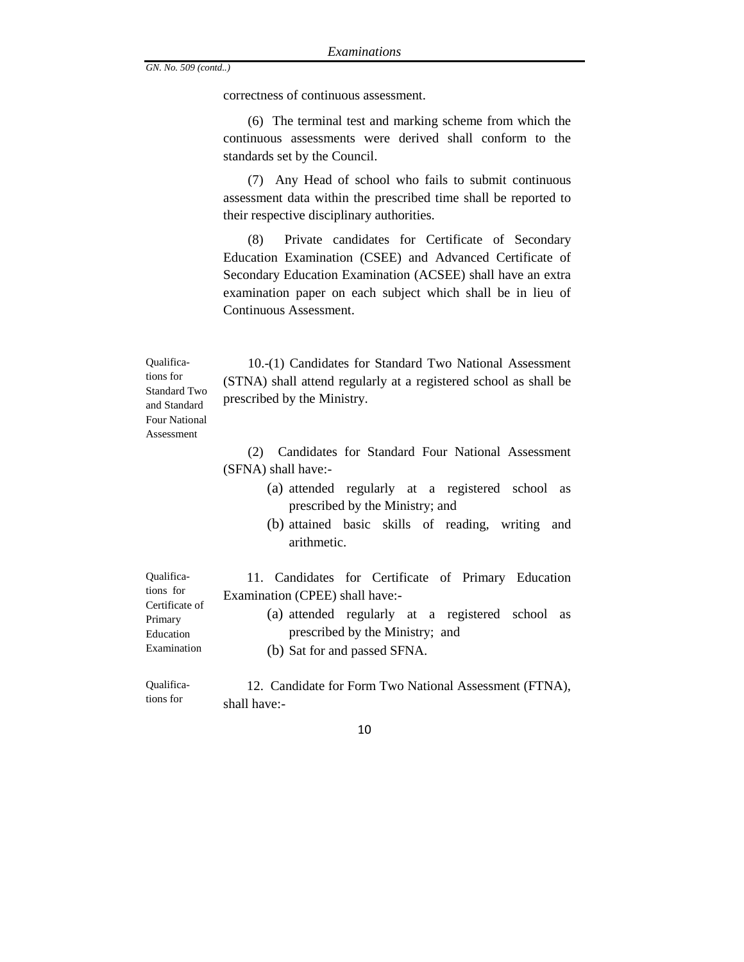correctness of continuous assessment.

(6) The terminal test and marking scheme from which the continuous assessments were derived shall conform to the standards set by the Council.

(7) Any Head of school who fails to submit continuous assessment data within the prescribed time shall be reported to their respective disciplinary authorities.

(8) Private candidates for Certificate of Secondary Education Examination (CSEE) and Advanced Certificate of Secondary Education Examination (ACSEE) shall have an extra examination paper on each subject which shall be in lieu of Continuous Assessment.

10.-(1) Candidates for Standard Two National Assessment (STNA) shall attend regularly at a registered school as shall be prescribed by the Ministry.

(2) Candidates for Standard Four National Assessment (SFNA) shall have:-

- (a) attended regularly at a registered school as prescribed by the Ministry; and
- (b) attained basic skills of reading, writing and arithmetic.

 11. Candidates for Certificate of Primary Education Examination (CPEE) shall have:-

- (a) attended regularly at a registered school as prescribed by the Ministry; and
	- (b) Sat for and passed SFNA.

Qualifica- 12. Candidate for Form Two National Assessment (FTNA), shall have:-

10

Qualifications for Certificate of Primary Education Examination

Qualifications for Standard Two and Standard Four National Assessment

tions for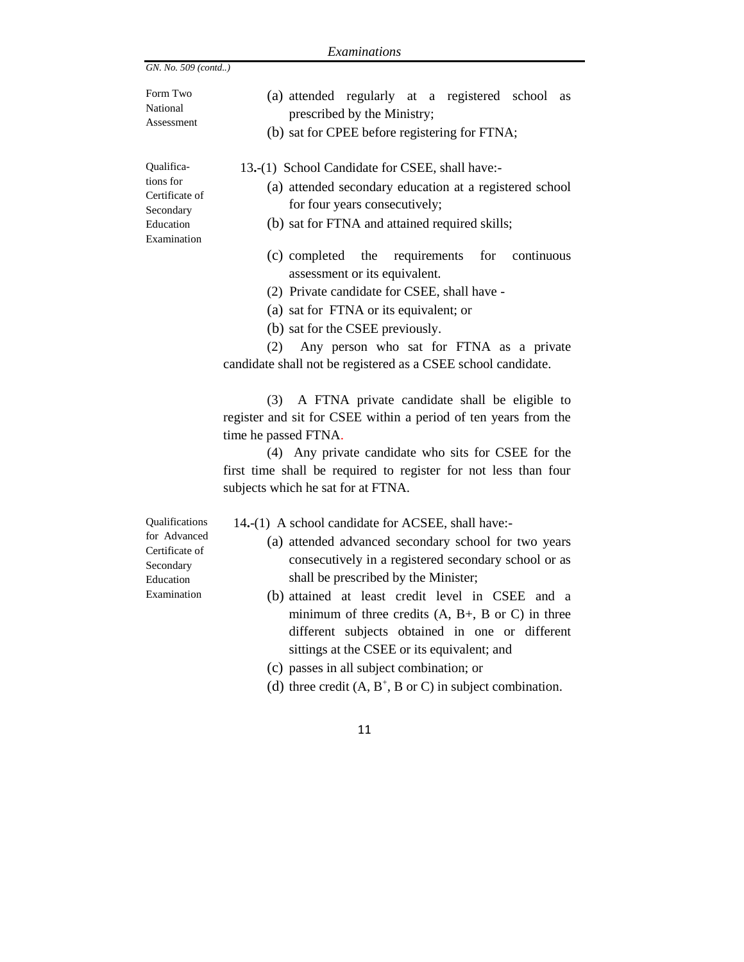| Examinations                                                                              |                                                                                                                                                                                                                                                                                                                                                                                                                                                                                                                                               |  |  |  |  |
|-------------------------------------------------------------------------------------------|-----------------------------------------------------------------------------------------------------------------------------------------------------------------------------------------------------------------------------------------------------------------------------------------------------------------------------------------------------------------------------------------------------------------------------------------------------------------------------------------------------------------------------------------------|--|--|--|--|
| GN. No. 509 (contd)                                                                       |                                                                                                                                                                                                                                                                                                                                                                                                                                                                                                                                               |  |  |  |  |
| Form Two<br>National<br>Assessment                                                        | (a) attended regularly at a registered school<br>as<br>prescribed by the Ministry;<br>(b) sat for CPEE before registering for FTNA;                                                                                                                                                                                                                                                                                                                                                                                                           |  |  |  |  |
| Qualifica-<br>tions for<br>Certificate of<br>Secondary<br>Education<br>Examination        | 13.-(1) School Candidate for CSEE, shall have:-<br>(a) attended secondary education at a registered school<br>for four years consecutively;<br>(b) sat for FTNA and attained required skills;                                                                                                                                                                                                                                                                                                                                                 |  |  |  |  |
|                                                                                           | requirements<br>(c) completed the<br>for<br>continuous<br>assessment or its equivalent.<br>(2) Private candidate for CSEE, shall have -<br>(a) sat for FTNA or its equivalent; or<br>(b) sat for the CSEE previously.<br>Any person who sat for FTNA as a private<br>(2)<br>candidate shall not be registered as a CSEE school candidate.                                                                                                                                                                                                     |  |  |  |  |
|                                                                                           | A FTNA private candidate shall be eligible to<br>(3)<br>register and sit for CSEE within a period of ten years from the<br>time he passed FTNA.<br>(4) Any private candidate who sits for CSEE for the<br>first time shall be required to register for not less than four<br>subjects which he sat for at FTNA.                                                                                                                                                                                                                               |  |  |  |  |
| Qualifications<br>for Advanced<br>Certificate of<br>Secondary<br>Education<br>Examination | 14.-(1) A school candidate for ACSEE, shall have:-<br>(a) attended advanced secondary school for two years<br>consecutively in a registered secondary school or as<br>shall be prescribed by the Minister;<br>(b) attained at least credit level in CSEE and a<br>minimum of three credits $(A, B+, B)$ or C) in three<br>different subjects obtained in one or different<br>sittings at the CSEE or its equivalent; and<br>(c) passes in all subject combination; or<br>(d) three credit $(A, B^+, B \text{ or } C)$ in subject combination. |  |  |  |  |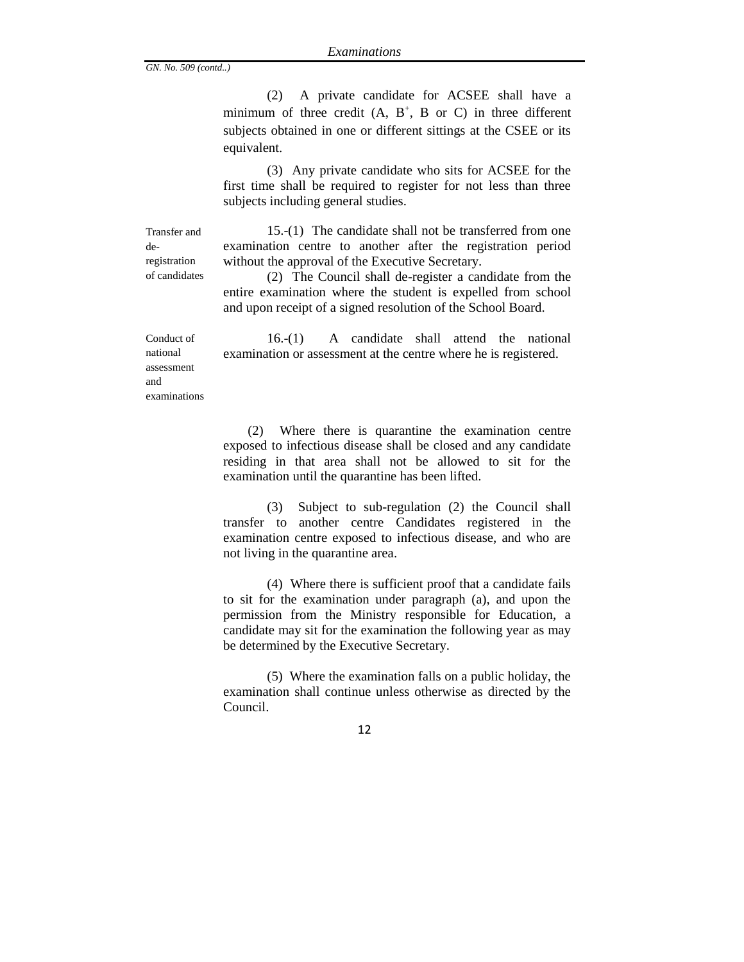(2) A private candidate for ACSEE shall have a minimum of three credit  $(A, B<sup>+</sup>, B or C)$  in three different subjects obtained in one or different sittings at the CSEE or its equivalent.

(3) Any private candidate who sits for ACSEE for the first time shall be required to register for not less than three subjects including general studies.

Transfer and deregistration of candidates

15.-(1) The candidate shall not be transferred from one examination centre to another after the registration period without the approval of the Executive Secretary.

(2) The Council shall de-register a candidate from the entire examination where the student is expelled from school and upon receipt of a signed resolution of the School Board.

Conduct of national assessment and examinations

16.-(1) A candidate shall attend the national examination or assessment at the centre where he is registered.

(2) Where there is quarantine the examination centre exposed to infectious disease shall be closed and any candidate residing in that area shall not be allowed to sit for the examination until the quarantine has been lifted.

(3) Subject to sub-regulation (2) the Council shall transfer to another centre Candidates registered in the examination centre exposed to infectious disease, and who are not living in the quarantine area.

(4) Where there is sufficient proof that a candidate fails to sit for the examination under paragraph (a), and upon the permission from the Ministry responsible for Education, a candidate may sit for the examination the following year as may be determined by the Executive Secretary.

(5) Where the examination falls on a public holiday, the examination shall continue unless otherwise as directed by the Council.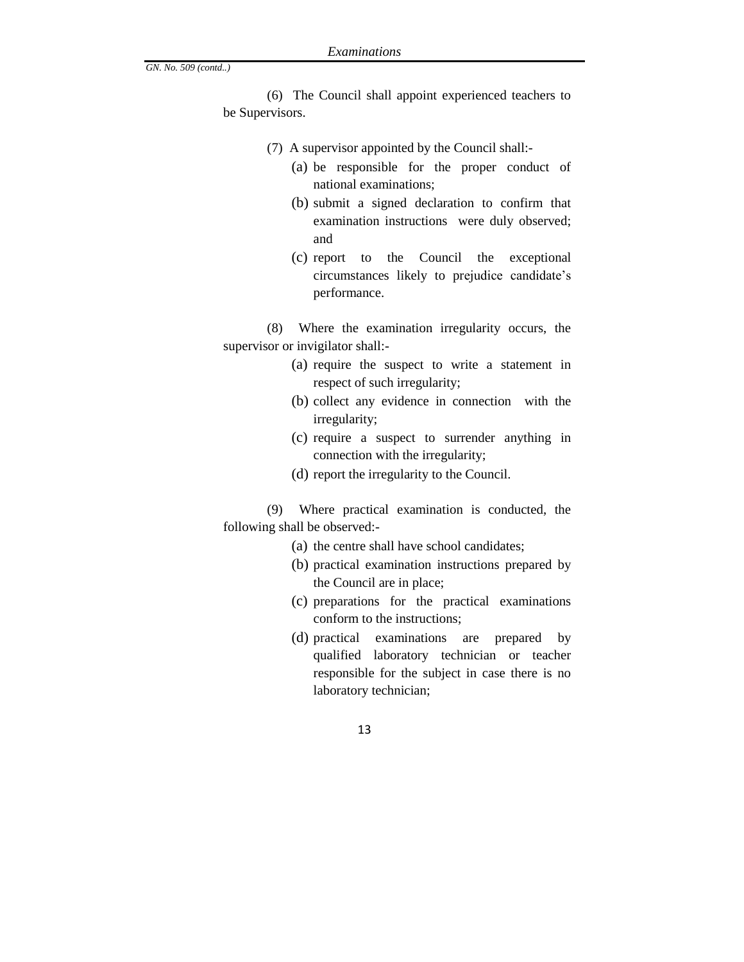(6) The Council shall appoint experienced teachers to be Supervisors.

- (7) A supervisor appointed by the Council shall:-
	- (a) be responsible for the proper conduct of national examinations;
	- (b) submit a signed declaration to confirm that examination instructions were duly observed; and
	- (c) report to the Council the exceptional circumstances likely to prejudice candidate's performance.

(8) Where the examination irregularity occurs, the supervisor or invigilator shall:-

- (a) require the suspect to write a statement in respect of such irregularity;
- (b) collect any evidence in connection with the irregularity;
- (c) require a suspect to surrender anything in connection with the irregularity;
- (d) report the irregularity to the Council.

(9) Where practical examination is conducted, the following shall be observed:-

- (a) the centre shall have school candidates;
- (b) practical examination instructions prepared by the Council are in place;
- (c) preparations for the practical examinations conform to the instructions;
- (d) practical examinations are prepared by qualified laboratory technician or teacher responsible for the subject in case there is no laboratory technician;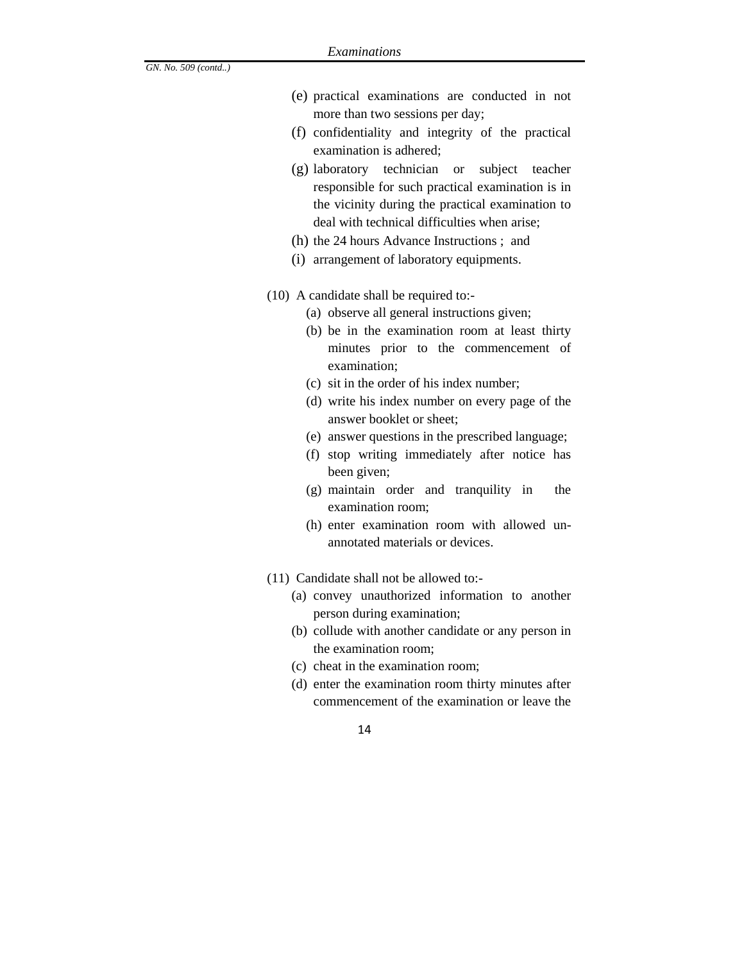- (e) practical examinations are conducted in not more than two sessions per day;
- (f) confidentiality and integrity of the practical examination is adhered;
- (g) laboratory technician or subject teacher responsible for such practical examination is in the vicinity during the practical examination to deal with technical difficulties when arise;
- (h) the 24 hours Advance Instructions ; and
- (i) arrangement of laboratory equipments.
- (10) A candidate shall be required to:-
	- (a) observe all general instructions given;
	- (b) be in the examination room at least thirty minutes prior to the commencement of examination;
	- (c) sit in the order of his index number;
	- (d) write his index number on every page of the answer booklet or sheet;
	- (e) answer questions in the prescribed language;
	- (f) stop writing immediately after notice has been given;
	- (g) maintain order and tranquility in the examination room;
	- (h) enter examination room with allowed unannotated materials or devices.
- (11) Candidate shall not be allowed to:-
	- (a) convey unauthorized information to another person during examination;
	- (b) collude with another candidate or any person in the examination room;
	- (c) cheat in the examination room;
	- (d) enter the examination room thirty minutes after commencement of the examination or leave the
		- 14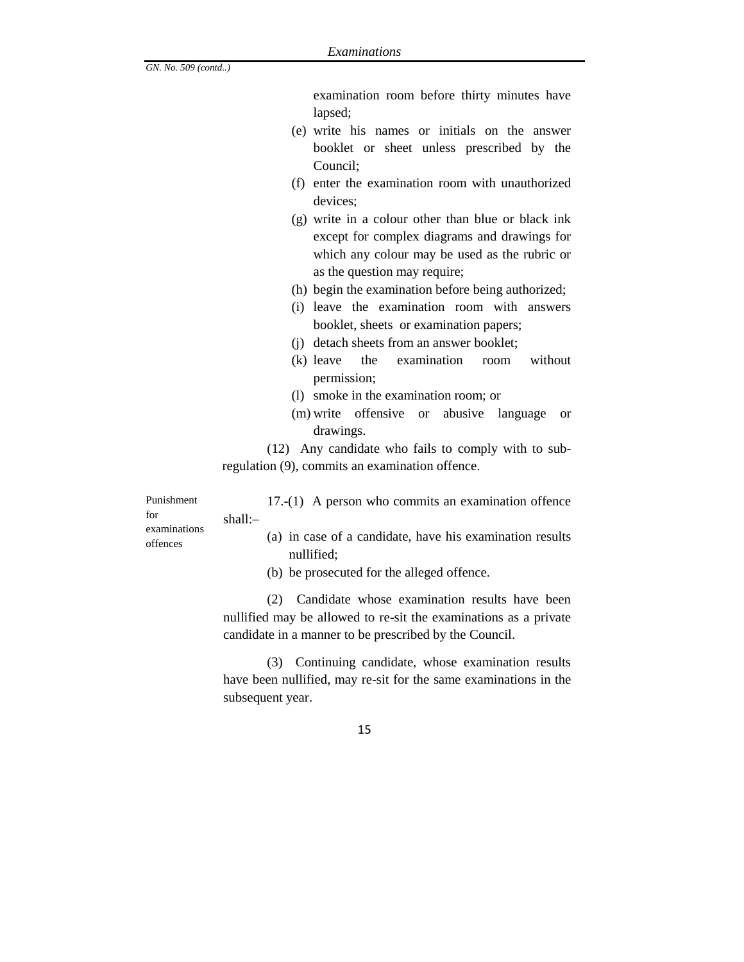examination room before thirty minutes have lapsed;

- (e) write his names or initials on the answer booklet or sheet unless prescribed by the Council;
- (f) enter the examination room with unauthorized devices;
- (g) write in a colour other than blue or black ink except for complex diagrams and drawings for which any colour may be used as the rubric or as the question may require;
- (h) begin the examination before being authorized;
- (i) leave the examination room with answers booklet, sheets or examination papers;
- (j) detach sheets from an answer booklet;
- (k) leave the examination room without permission;
- (l) smoke in the examination room; or
- (m) write offensive or abusive language or drawings.

(12) Any candidate who fails to comply with to subregulation (9), commits an examination offence.

Punishment for examinations offences

17.-(1) A person who commits an examination offence shall:–

- (a) in case of a candidate, have his examination results nullified;
- (b) be prosecuted for the alleged offence.

(2) Candidate whose examination results have been nullified may be allowed to re-sit the examinations as a private candidate in a manner to be prescribed by the Council.

(3) Continuing candidate, whose examination results have been nullified, may re-sit for the same examinations in the subsequent year.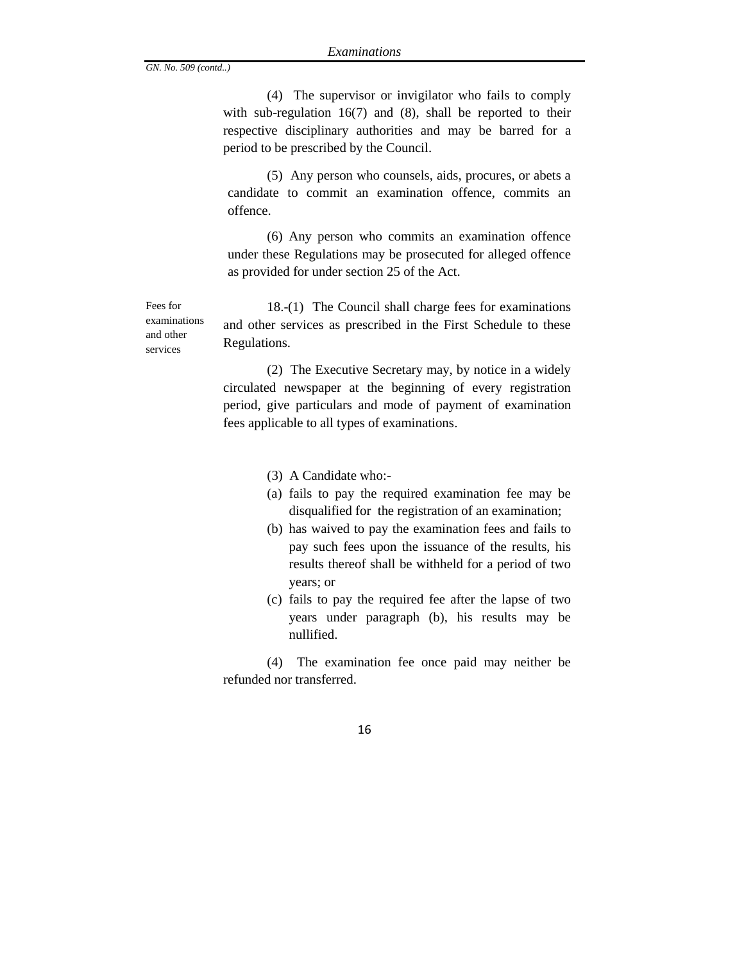(4) The supervisor or invigilator who fails to comply with sub-regulation 16(7) and (8), shall be reported to their respective disciplinary authorities and may be barred for a period to be prescribed by the Council.

(5) Any person who counsels, aids, procures, or abets a candidate to commit an examination offence, commits an offence.

(6) Any person who commits an examination offence under these Regulations may be prosecuted for alleged offence as provided for under section 25 of the Act.

18.-(1) The Council shall charge fees for examinations and other services as prescribed in the First Schedule to these Regulations.

(2) The Executive Secretary may, by notice in a widely circulated newspaper at the beginning of every registration period, give particulars and mode of payment of examination fees applicable to all types of examinations.

- (3) A Candidate who:-
- (a) fails to pay the required examination fee may be disqualified for the registration of an examination;
- (b) has waived to pay the examination fees and fails to pay such fees upon the issuance of the results, his results thereof shall be withheld for a period of two years; or
- (c) fails to pay the required fee after the lapse of two years under paragraph (b), his results may be nullified.

(4) The examination fee once paid may neither be refunded nor transferred.

Fees for examinations and other services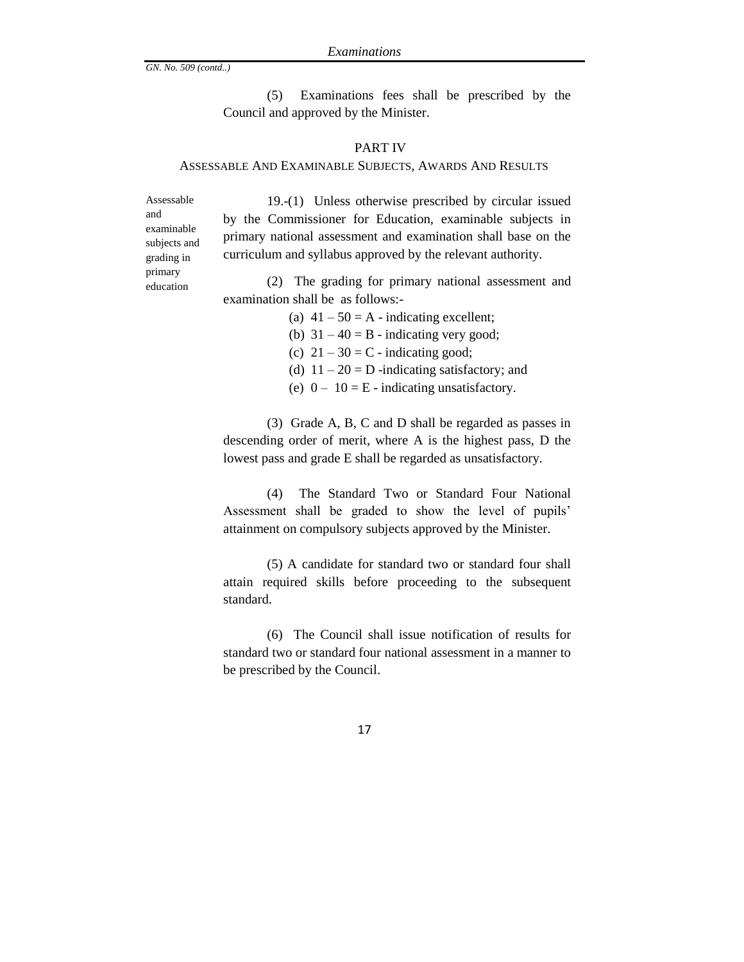(5) Examinations fees shall be prescribed by the Council and approved by the Minister.

#### PART IV

#### ASSESSABLE AND EXAMINABLE SUBJECTS, AWARDS AND RESULTS

Assessable and examinable subjects and grading in primary education

19.-(1) Unless otherwise prescribed by circular issued by the Commissioner for Education, examinable subjects in primary national assessment and examination shall base on the curriculum and syllabus approved by the relevant authority.

(2) The grading for primary national assessment and examination shall be as follows:-

(a)  $41 - 50 = A -$  indicating excellent;

(b)  $31 - 40 = B$  - indicating very good;

(c)  $21 - 30 = C$  - indicating good;

(d)  $11 - 20 = D$  -indicating satisfactory; and

(e)  $0 - 10 = E$  - indicating unsatisfactory.

(3) Grade A, B, C and D shall be regarded as passes in descending order of merit, where A is the highest pass, D the lowest pass and grade E shall be regarded as unsatisfactory.

(4) The Standard Two or Standard Four National Assessment shall be graded to show the level of pupils' attainment on compulsory subjects approved by the Minister.

(5) A candidate for standard two or standard four shall attain required skills before proceeding to the subsequent standard.

(6) The Council shall issue notification of results for standard two or standard four national assessment in a manner to be prescribed by the Council.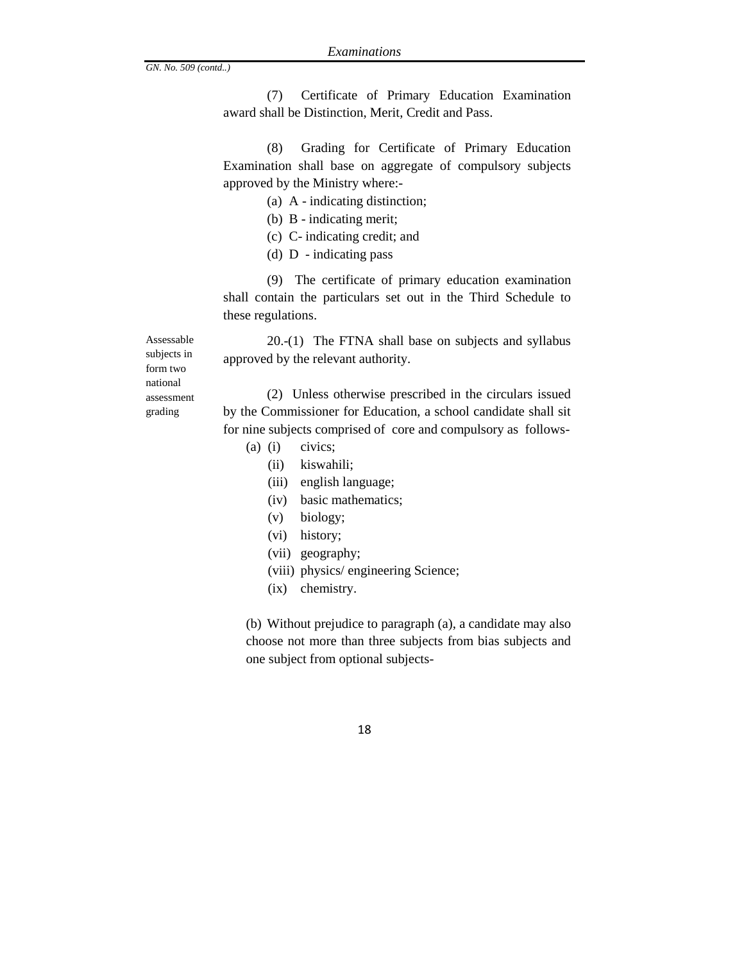(7) Certificate of Primary Education Examination award shall be Distinction, Merit, Credit and Pass.

(8) Grading for Certificate of Primary Education Examination shall base on aggregate of compulsory subjects approved by the Ministry where:-

(a) A - indicating distinction;

- (b) B indicating merit;
- (c) C- indicating credit; and
- (d) D indicating pass

(9) The certificate of primary education examination shall contain the particulars set out in the Third Schedule to these regulations.

20.-(1) The FTNA shall base on subjects and syllabus approved by the relevant authority.

subjects in form two national assessment grading

Assessable

(2) Unless otherwise prescribed in the circulars issued by the Commissioner for Education, a school candidate shall sit for nine subjects comprised of core and compulsory as follows-

- (a) (i) civics;
	- (ii) kiswahili;
	- (iii) english language;
	- (iv) basic mathematics;
	- (v) biology;
	- (vi) history;
	- (vii) geography;
	- (viii) physics/ engineering Science;
	- (ix) chemistry.

(b) Without prejudice to paragraph (a), a candidate may also choose not more than three subjects from bias subjects and one subject from optional subjects-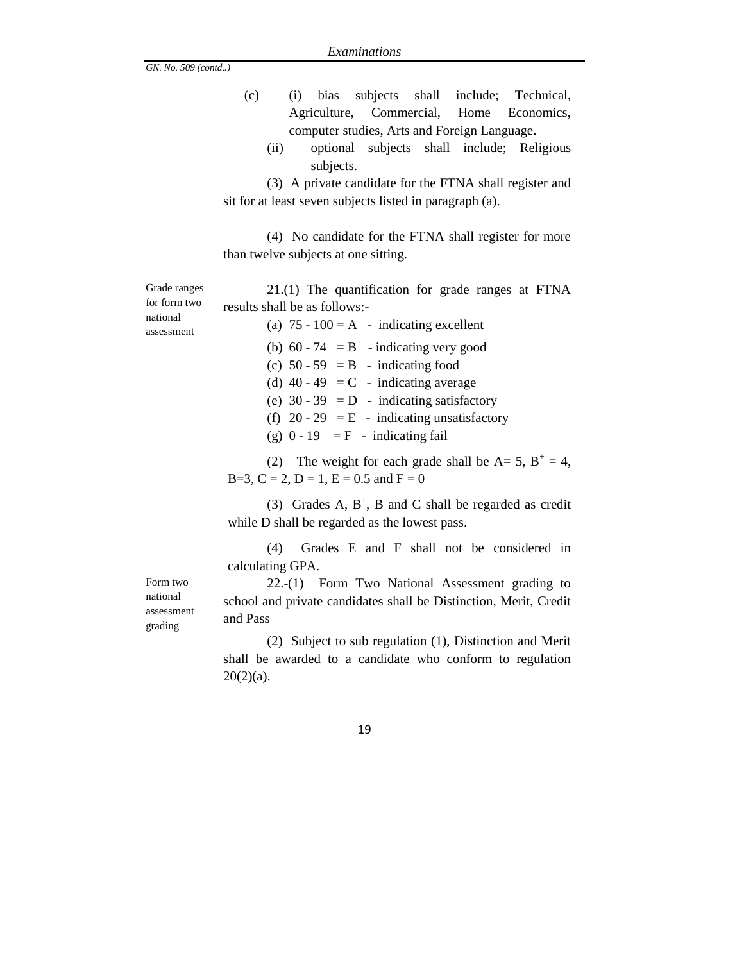| (c) |  |                                              |  | (i) bias subjects shall include; Technical, |
|-----|--|----------------------------------------------|--|---------------------------------------------|
|     |  |                                              |  | Agriculture, Commercial, Home Economics,    |
|     |  | computer studies, Arts and Foreign Language. |  |                                             |

(ii) optional subjects shall include; Religious subjects.

(3) A private candidate for the FTNA shall register and sit for at least seven subjects listed in paragraph (a).

(4) No candidate for the FTNA shall register for more than twelve subjects at one sitting.

Grade ranges for form two national assessment

21.(1) The quantification for grade ranges at FTNA results shall be as follows:- (a)  $75 - 100 = A - indicating excellent$ 

(b)  $60 - 74 = B^+$  - indicating very good (c)  $50 - 59 = B -$  indicating food (d) 40 - 49 = C - indicating average (e)  $30 - 39 = D$  - indicating satisfactory (f)  $20 - 29 = E$  - indicating unsatisfactory (g)  $0 - 19 = F -$  indicating fail

(2) The weight for each grade shall be  $A = 5$ ,  $B^+ = 4$ , B=3, C = 2, D = 1, E = 0.5 and F = 0

(3) Grades A,  $B^+$ , B and C shall be regarded as credit while D shall be regarded as the lowest pass.

(4) Grades E and F shall not be considered in calculating GPA.

22.-(1) Form Two National Assessment grading to school and private candidates shall be Distinction, Merit, Credit and Pass

(2) Subject to sub regulation (1), Distinction and Merit shall be awarded to a candidate who conform to regulation  $20(2)(a)$ .

Form two national assessment grading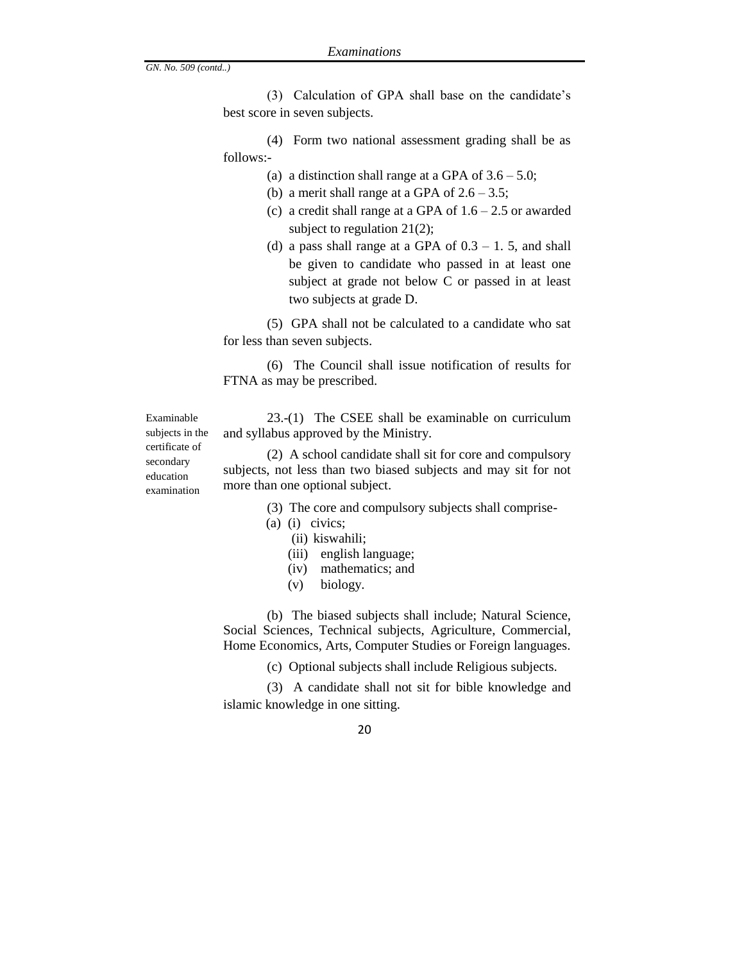(3) Calculation of GPA shall base on the candidate's best score in seven subjects.

(4) Form two national assessment grading shall be as follows:-

- (a) a distinction shall range at a GPA of  $3.6 5.0$ ;
- (b) a merit shall range at a GPA of  $2.6 3.5$ ;
- (c) a credit shall range at a GPA of  $1.6 2.5$  or awarded subject to regulation 21(2);
- (d) a pass shall range at a GPA of  $0.3 1.5$ , and shall be given to candidate who passed in at least one subject at grade not below C or passed in at least two subjects at grade D.

(5) GPA shall not be calculated to a candidate who sat for less than seven subjects.

(6) The Council shall issue notification of results for FTNA as may be prescribed.

23.-(1) The CSEE shall be examinable on curriculum and syllabus approved by the Ministry.

(2) A school candidate shall sit for core and compulsory subjects, not less than two biased subjects and may sit for not more than one optional subject.

- (3) The core and compulsory subjects shall comprise-
- (a) (i) civics;
	- (ii) kiswahili;
	- (iii) english language;
	- (iv) mathematics; and
	- (v) biology.

(b) The biased subjects shall include; Natural Science, Social Sciences, Technical subjects, Agriculture, Commercial, Home Economics, Arts, Computer Studies or Foreign languages.

(c) Optional subjects shall include Religious subjects.

(3) A candidate shall not sit for bible knowledge and islamic knowledge in one sitting.

20

subjects in the certificate of secondary education examination

Examinable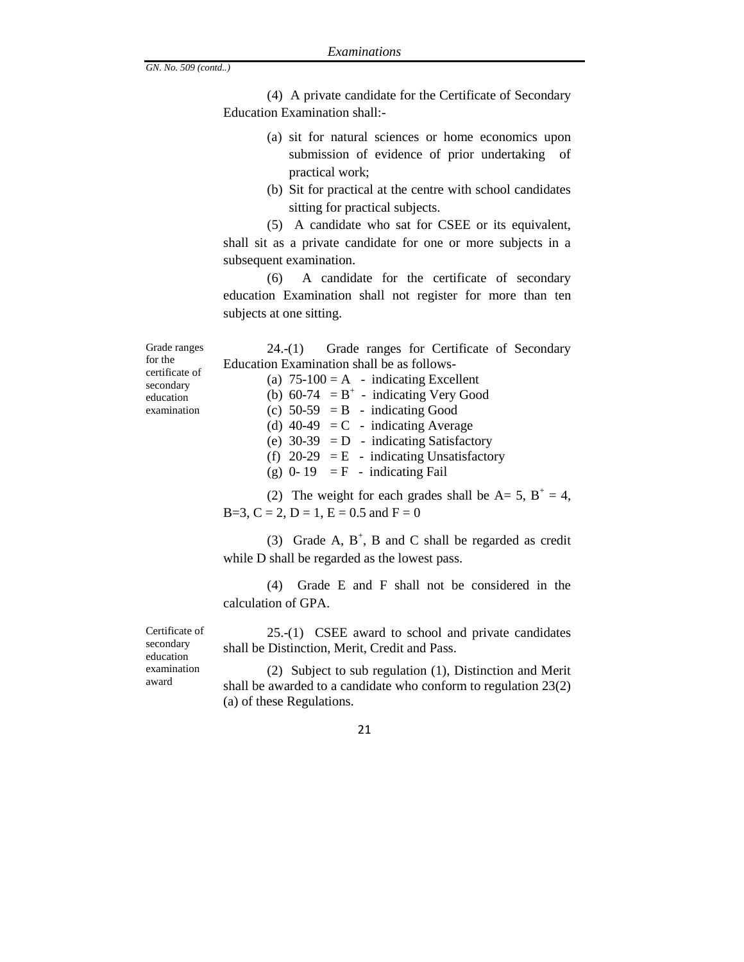(4) A private candidate for the Certificate of Secondary Education Examination shall:-

- (a) sit for natural sciences or home economics upon submission of evidence of prior undertaking of practical work;
- (b) Sit for practical at the centre with school candidates sitting for practical subjects.

24.-(1) Grade ranges for Certificate of Secondary

(5) A candidate who sat for CSEE or its equivalent, shall sit as a private candidate for one or more subjects in a subsequent examination.

(6) A candidate for the certificate of secondary education Examination shall not register for more than ten subjects at one sitting.

Grade ranges for the certificate of secondary education examination

| Education Examination shall be as follows-  |  |  |  |  |  |  |
|---------------------------------------------|--|--|--|--|--|--|
| (a) $75-100 = A$ - indicating Excellent     |  |  |  |  |  |  |
| (b) $60-74 = B^+$ - indicating Very Good    |  |  |  |  |  |  |
| (c) $50-59 = B - \text{indicating Good}$    |  |  |  |  |  |  |
| (d) $40-49 = C$ - indicating Average        |  |  |  |  |  |  |
| (e) $30-39$ = D - indicating Satisfactory   |  |  |  |  |  |  |
| (f) $20-29 = E$ - indicating Unsatisfactory |  |  |  |  |  |  |
| (g) $0-19 = F$ - indicating Fail            |  |  |  |  |  |  |
|                                             |  |  |  |  |  |  |

(2) The weight for each grades shall be  $A = 5$ ,  $B^+ = 4$ ,  $B=3, C = 2, D = 1, E = 0.5$  and  $F = 0$ 

(3) Grade A,  $B^+$ , B and C shall be regarded as credit while D shall be regarded as the lowest pass.

(4) Grade E and F shall not be considered in the calculation of GPA.

Certificate of secondary education examination award

25.-(1)CSEE award to school and private candidates shall be Distinction, Merit, Credit and Pass.

(2) Subject to sub regulation (1), Distinction and Merit shall be awarded to a candidate who conform to regulation 23(2) (a) of these Regulations.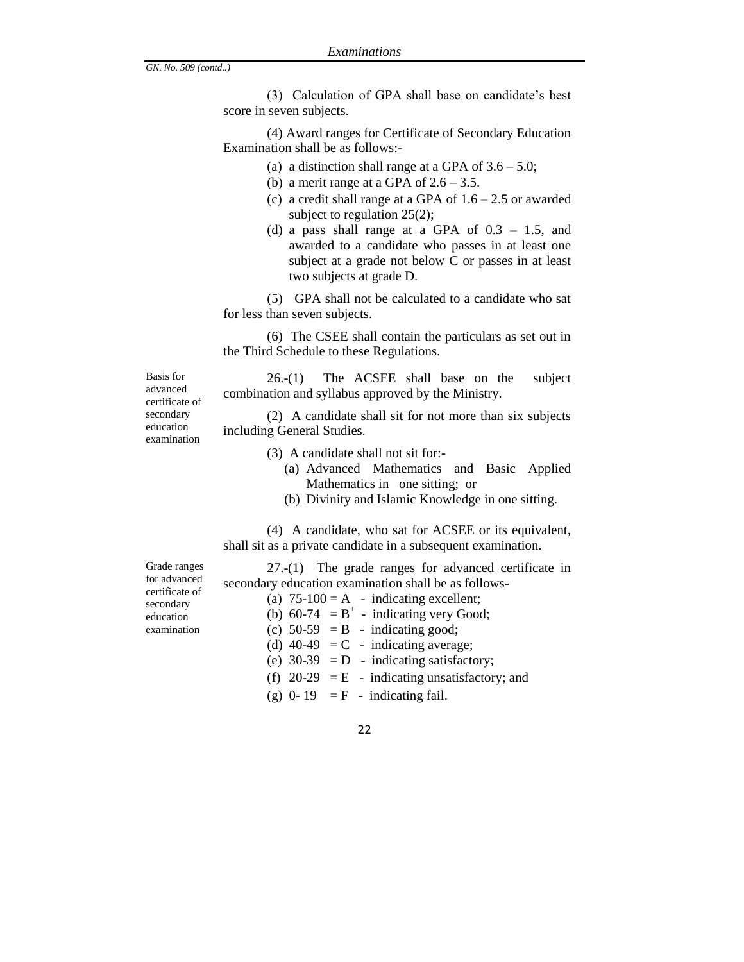(3) Calculation of GPA shall base on candidate's best score in seven subjects.

(4) Award ranges for Certificate of Secondary Education Examination shall be as follows:-

- (a) a distinction shall range at a GPA of  $3.6 5.0$ ;
- (b) a merit range at a GPA of  $2.6 3.5$ .
- (c) a credit shall range at a GPA of  $1.6 2.5$  or awarded subject to regulation 25(2);
- (d) a pass shall range at a GPA of  $0.3 1.5$ , and awarded to a candidate who passes in at least one subject at a grade not below C or passes in at least two subjects at grade D.

(5) GPA shall not be calculated to a candidate who sat for less than seven subjects.

(6) The CSEE shall contain the particulars as set out in the Third Schedule to these Regulations.

26.-(1) The ACSEE shall base on the subject combination and syllabus approved by the Ministry.

(2) A candidate shall sit for not more than six subjects including General Studies.

(3) A candidate shall not sit for:-

- (a) Advanced Mathematics and Basic Applied Mathematics in one sitting; or
- (b) Divinity and Islamic Knowledge in one sitting.

(4) A candidate, who sat for ACSEE or its equivalent, shall sit as a private candidate in a subsequent examination.

Grade ranges for advanced certificate of secondary education examination

Basis for advanced certificate of secondary education examination

> 27.-(1) The grade ranges for advanced certificate in secondary education examination shall be as follows-

- (a)  $75-100 = A indicating excellent;$ (b)  $60-74 = B^+$  - indicating very Good;
- 
- (c)  $50-59 = B \text{indicating good};$
- (d)  $40-49 = C$  indicating average;
- (e)  $30-39$  = D indicating satisfactory;
- (f)  $20-29 = E$  indicating unsatisfactory; and
- (g)  $0-19 = F$  indicating fail.
	- 22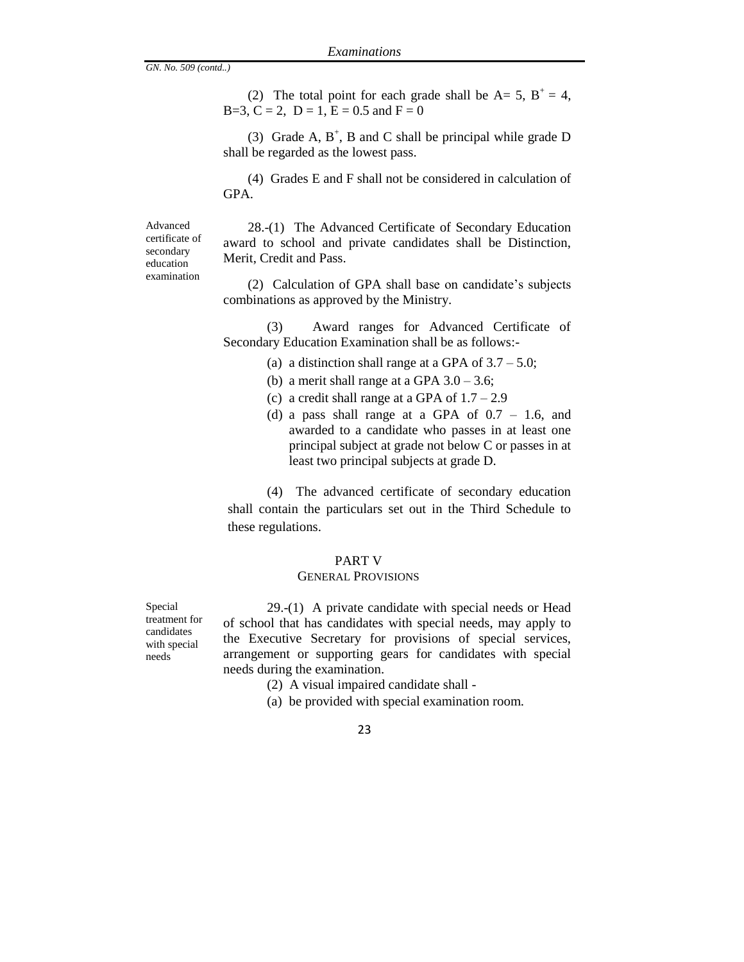(2) The total point for each grade shall be  $A=5$ ,  $B^+=4$ ,  $B=3, C = 2, D = 1, E = 0.5$  and  $F = 0$ 

(3) Grade A,  $B^+$ , B and C shall be principal while grade D shall be regarded as the lowest pass.

(4) Grades E and F shall not be considered in calculation of GPA.

Advanced certificate of secondary education examination

28.-(1) The Advanced Certificate of Secondary Education award to school and private candidates shall be Distinction, Merit, Credit and Pass.

(2) Calculation of GPA shall base on candidate's subjects combinations as approved by the Ministry.

(3) Award ranges for Advanced Certificate of Secondary Education Examination shall be as follows:-

- (a) a distinction shall range at a GPA of  $3.7 5.0$ ;
- (b) a merit shall range at a GPA  $3.0 3.6$ ;
- (c) a credit shall range at a GPA of  $1.7 2.9$
- (d) a pass shall range at a GPA of  $0.7 1.6$ , and awarded to a candidate who passes in at least one principal subject at grade not below C or passes in at least two principal subjects at grade D.

(4) The advanced certificate of secondary education shall contain the particulars set out in the Third Schedule to these regulations.

#### PART V

#### GENERAL PROVISIONS

Special treatment for candidates with special needs

29.-(1) A private candidate with special needs or Head of school that has candidates with special needs, may apply to the Executive Secretary for provisions of special services, arrangement or supporting gears for candidates with special needs during the examination.

- (2) A visual impaired candidate shall -
- (a) be provided with special examination room.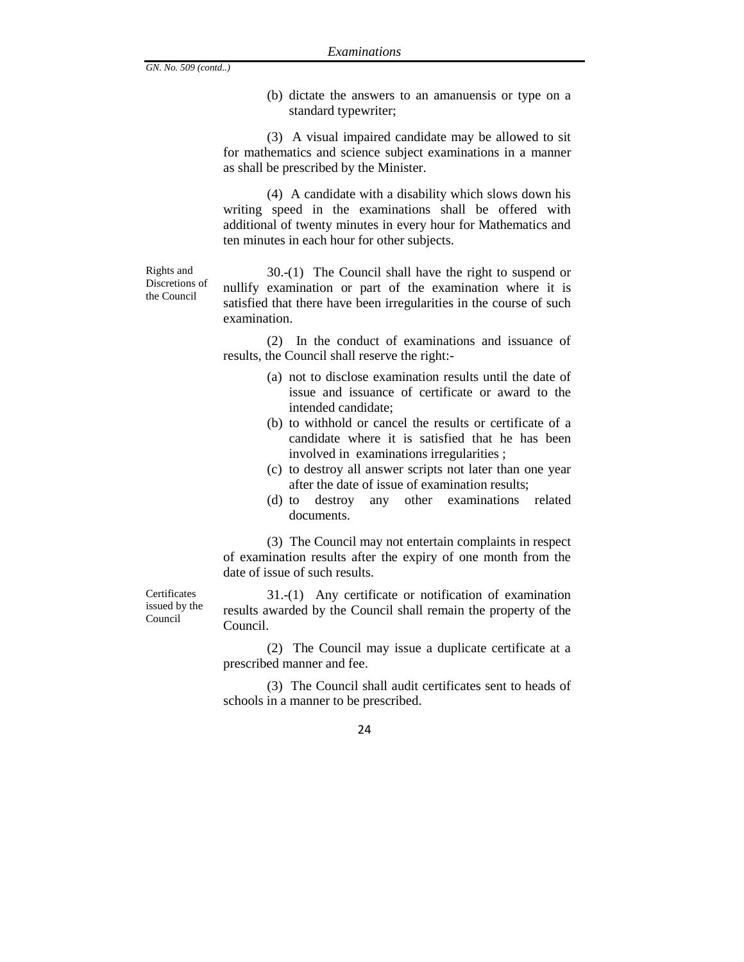Rights and Discretions of the Council

(b) dictate the answers to an amanuensis or type on a standard typewriter;

(3) A visual impaired candidate may be allowed to sit for mathematics and science subject examinations in a manner as shall be prescribed by the Minister.

(4) A candidate with a disability which slows down his writing speed in the examinations shall be offered with additional of twenty minutes in every hour for Mathematics and ten minutes in each hour for other subjects.

30.-(1) The Council shall have the right to suspend or nullify examination or part of the examination where it is satisfied that there have been irregularities in the course of such examination.

(2) In the conduct of examinations and issuance of results, the Council shall reserve the right:-

- (a) not to disclose examination results until the date of issue and issuance of certificate or award to the intended candidate;
- (b) to withhold or cancel the results or certificate of a candidate where it is satisfied that he has been involved in examinations irregularities ;
- (c) to destroy all answer scripts not later than one year after the date of issue of examination results;
- (d) to destroy any other examinations related documents.

(3) The Council may not entertain complaints in respect of examination results after the expiry of one month from the date of issue of such results.

**Certificates** issued by the Council

31.-(1) Any certificate or notification of examination results awarded by the Council shall remain the property of the Council.

(2) The Council may issue a duplicate certificate at a prescribed manner and fee.

(3) The Council shall audit certificates sent to heads of schools in a manner to be prescribed.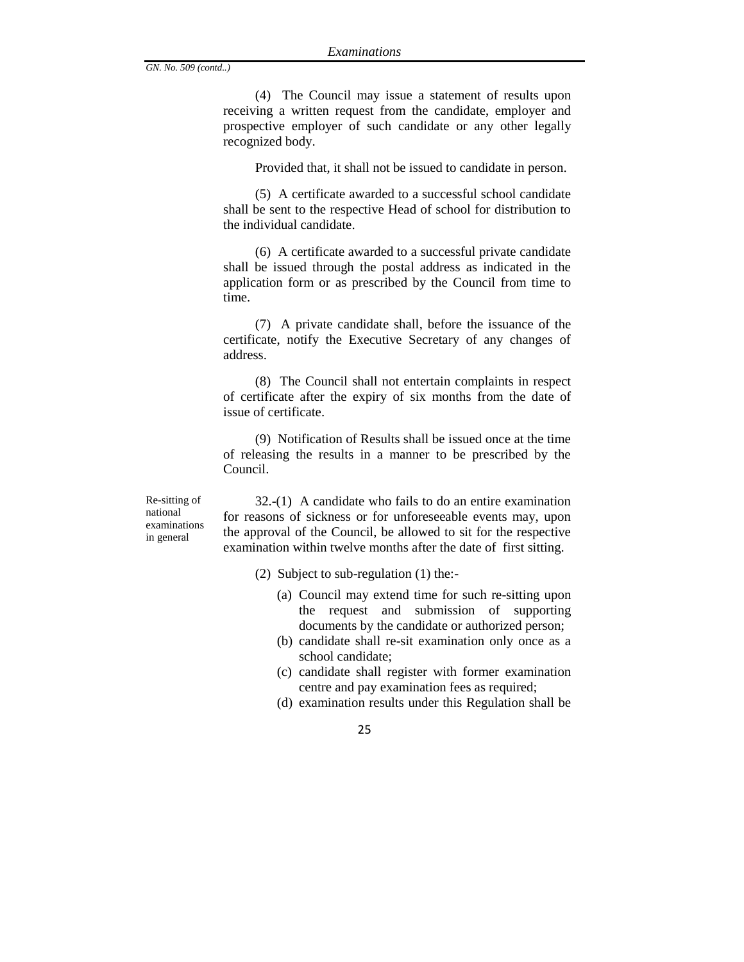(4) The Council may issue a statement of results upon receiving a written request from the candidate, employer and prospective employer of such candidate or any other legally recognized body.

Provided that, it shall not be issued to candidate in person.

(5) A certificate awarded to a successful school candidate shall be sent to the respective Head of school for distribution to the individual candidate.

(6) A certificate awarded to a successful private candidate shall be issued through the postal address as indicated in the application form or as prescribed by the Council from time to time.

(7) A private candidate shall, before the issuance of the certificate, notify the Executive Secretary of any changes of address.

(8) The Council shall not entertain complaints in respect of certificate after the expiry of six months from the date of issue of certificate.

(9) Notification of Results shall be issued once at the time of releasing the results in a manner to be prescribed by the Council.

Re-sitting of national examinations in general

32.-(1) A candidate who fails to do an entire examination for reasons of sickness or for unforeseeable events may, upon the approval of the Council, be allowed to sit for the respective examination within twelve months after the date of first sitting.

- (2) Subject to sub-regulation (1) the:-
	- (a) Council may extend time for such re-sitting upon the request and submission of supporting documents by the candidate or authorized person;
	- (b) candidate shall re-sit examination only once as a school candidate;
	- (c) candidate shall register with former examination centre and pay examination fees as required;
	- (d) examination results under this Regulation shall be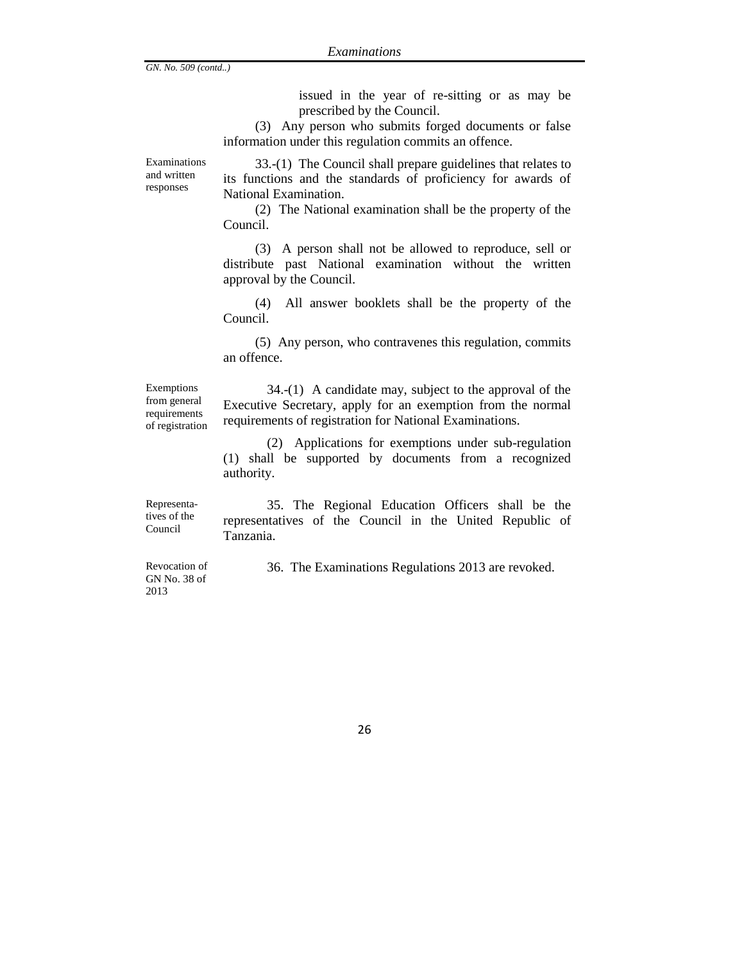issued in the year of re-sitting or as may be prescribed by the Council.

(3) Any person who submits forged documents or false information under this regulation commits an offence.

Examinations and written responses

33.-(1) The Council shall prepare guidelines that relates to its functions and the standards of proficiency for awards of National Examination.

(2) The National examination shall be the property of the Council.

(3) A person shall not be allowed to reproduce, sell or distribute past National examination without the written approval by the Council.

(4) All answer booklets shall be the property of the Council.

(5) Any person, who contravenes this regulation, commits an offence.

Exemptions from general requirements of registration

34.-(1) A candidate may, subject to the approval of the Executive Secretary, apply for an exemption from the normal requirements of registration for National Examinations.

(2) Applications for exemptions under sub-regulation (1) shall be supported by documents from a recognized authority.

Representatives of the Council

35. The Regional Education Officers shall be the representatives of the Council in the United Republic of Tanzania.

Revocation of GN No. 38 of 2013

36.The Examinations Regulations 2013 are revoked.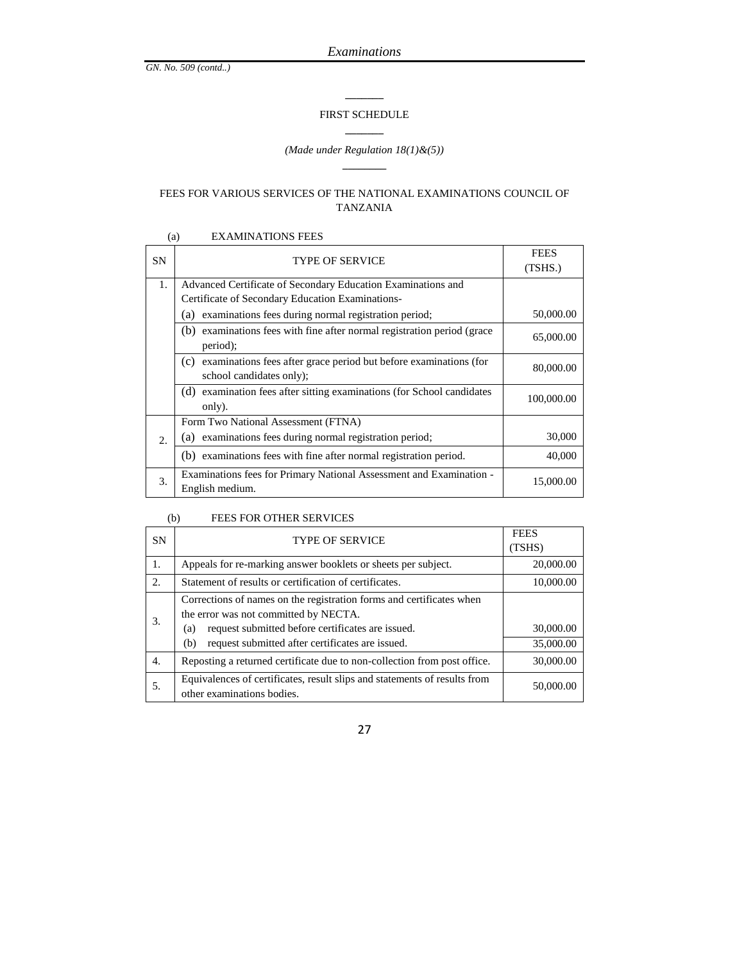## **\_\_\_\_\_\_\_** FIRST SCHEDULE **\_\_\_\_\_\_\_**

#### *(Made under Regulation 18(1)&(5))* **\_\_\_\_\_\_\_\_**

#### FEES FOR VARIOUS SERVICES OF THE NATIONAL EXAMINATIONS COUNCIL OF TANZANIA

#### (a) EXAMINATIONS FEES

| <b>SN</b> | <b>TYPE OF SERVICE</b>                                                                               | <b>FEES</b> |
|-----------|------------------------------------------------------------------------------------------------------|-------------|
|           |                                                                                                      | (TSHS.)     |
| 1.        | Advanced Certificate of Secondary Education Examinations and                                         |             |
|           | Certificate of Secondary Education Examinations-                                                     |             |
|           | examinations fees during normal registration period;<br>(a)                                          | 50,000.00   |
|           | (b)<br>examinations fees with fine after normal registration period (grace)<br>period);              | 65,000.00   |
|           | examinations fees after grace period but before examinations (for<br>(c)<br>school candidates only); | 80,000.00   |
|           | (d) examination fees after sitting examinations (for School candidates<br>only).                     | 100,000.00  |
|           | Form Two National Assessment (FTNA)                                                                  |             |
| 2.        | examinations fees during normal registration period;<br>a)                                           | 30,000      |
|           | (b) examinations fees with fine after normal registration period.                                    | 40,000      |
| 3.        | Examinations fees for Primary National Assessment and Examination -<br>English medium.               | 15,000.00   |

#### (b) FEES FOR OTHER SERVICES

| <b>SN</b> | <b>TYPE OF SERVICE</b>                                                                                                                                                                                                               | <b>FEES</b><br>(TSHS)  |
|-----------|--------------------------------------------------------------------------------------------------------------------------------------------------------------------------------------------------------------------------------------|------------------------|
| 1.        | Appeals for re-marking answer booklets or sheets per subject.                                                                                                                                                                        | 20,000.00              |
| 2.        | Statement of results or certification of certificates.                                                                                                                                                                               | 10,000.00              |
| 3.        | Corrections of names on the registration forms and certificates when<br>the error was not committed by NECTA.<br>request submitted before certificates are issued.<br>(a)<br>request submitted after certificates are issued.<br>(b) | 30,000.00<br>35,000.00 |
| 4.        | Reposting a returned certificate due to non-collection from post office.                                                                                                                                                             | 30,000.00              |
| .5.       | Equivalences of certificates, result slips and statements of results from<br>other examinations bodies.                                                                                                                              | 50,000.00              |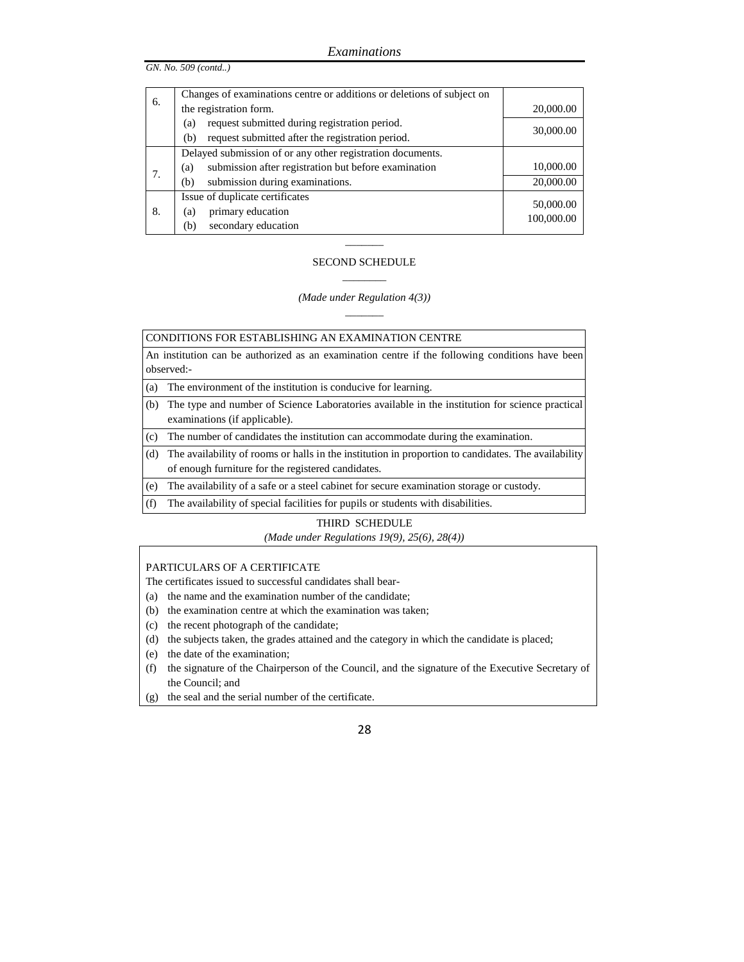|    | Changes of examinations centre or additions or deletions of subject on |            |
|----|------------------------------------------------------------------------|------------|
| 6. | 20,000.00                                                              |            |
|    | request submitted during registration period.<br>(a)                   | 30,000.00  |
|    | request submitted after the registration period.<br>(b)                |            |
|    | Delayed submission of or any other registration documents.             |            |
| 7. | submission after registration but before examination<br>(a)            | 10,000.00  |
|    | submission during examinations.<br>(b)                                 | 20,000.00  |
|    | Issue of duplicate certificates                                        | 50,000.00  |
| 8. | primary education<br>(a)                                               | 100,000.00 |
|    | secondary education<br>(b)                                             |            |

## $\overline{\phantom{a}}$ SECOND SCHEDULE \_\_\_\_\_\_\_\_

#### *(Made under Regulation 4(3))*  $\overline{\phantom{a}}$

CONDITIONS FOR ESTABLISHING AN EXAMINATION CENTRE

An institution can be authorized as an examination centre if the following conditions have been observed:-

(a) The environment of the institution is conducive for learning.

- (b) The type and number of Science Laboratories available in the institution for science practical examinations (if applicable).
- (c) The number of candidates the institution can accommodate during the examination.

(d) The availability of rooms or halls in the institution in proportion to candidates. The availability of enough furniture for the registered candidates.

- (e) The availability of a safe or a steel cabinet for secure examination storage or custody.
- (f) The availability of special facilities for pupils or students with disabilities.

#### THIRD SCHEDULE

*(Made under Regulations 19(9), 25(6), 28(4))*

#### PARTICULARS OF A CERTIFICATE

The certificates issued to successful candidates shall bear-

- (a) the name and the examination number of the candidate;
- (b) the examination centre at which the examination was taken;
- (c) the recent photograph of the candidate;
- (d) the subjects taken, the grades attained and the category in which the candidate is placed;
- (e) the date of the examination;
- (f) the signature of the Chairperson of the Council, and the signature of the Executive Secretary of the Council; and
- (g) the seal and the serial number of the certificate.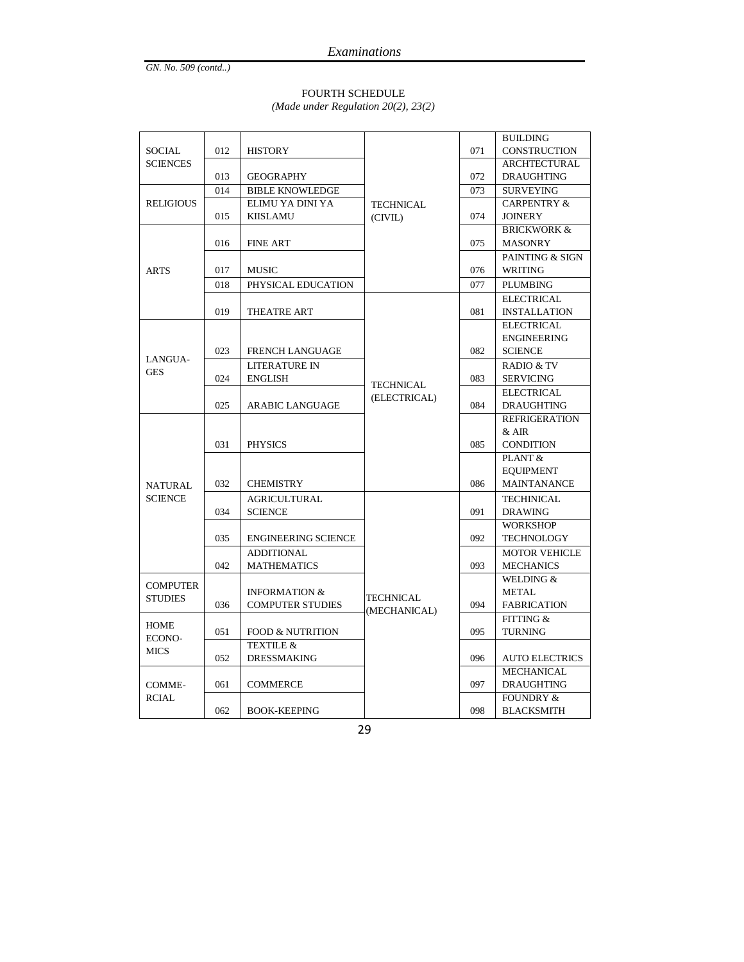# FOURTH SCHEDULE

*(Made under Regulation 20(2), 23(2)*

|                  |     |                             |                  |     | <b>BUILDING</b>        |
|------------------|-----|-----------------------------|------------------|-----|------------------------|
| SOCIAL           | 012 | <b>HISTORY</b>              |                  | 071 | <b>CONSTRUCTION</b>    |
| <b>SCIENCES</b>  |     |                             |                  |     | ARCHTECTURAL           |
|                  | 013 | <b>GEOGRAPHY</b>            |                  | 072 | <b>DRAUGHTING</b>      |
|                  | 014 | <b>BIBLE KNOWLEDGE</b>      |                  | 073 | <b>SURVEYING</b>       |
| <b>RELIGIOUS</b> |     | ELIMU YA DINI YA            | <b>TECHNICAL</b> |     | <b>CARPENTRY &amp;</b> |
|                  | 015 | <b>KIISLAMU</b>             | (CIVIL)          | 074 | <b>JOINERY</b>         |
|                  |     |                             |                  |     | <b>BRICKWORK &amp;</b> |
|                  | 016 | <b>FINE ART</b>             |                  | 075 | <b>MASONRY</b>         |
|                  |     |                             |                  |     | PAINTING & SIGN        |
| <b>ARTS</b>      | 017 | <b>MUSIC</b>                |                  | 076 | WRITING                |
|                  | 018 | PHYSICAL EDUCATION          |                  | 077 | PLUMBING               |
|                  |     |                             |                  |     | <b>ELECTRICAL</b>      |
|                  | 019 | THEATRE ART                 |                  | 081 | <b>INSTALLATION</b>    |
|                  |     |                             |                  |     | <b>ELECTRICAL</b>      |
|                  |     |                             |                  |     | <b>ENGINEERING</b>     |
| LANGUA-          | 023 | <b>FRENCH LANGUAGE</b>      |                  | 082 | <b>SCIENCE</b>         |
| GES              |     | LITERATURE IN               |                  |     | RADIO & TV             |
|                  | 024 | <b>ENGLISH</b>              | <b>TECHNICAL</b> | 083 | <b>SERVICING</b>       |
|                  |     |                             | (ELECTRICAL)     |     | <b>ELECTRICAL</b>      |
|                  | 025 | ARABIC LANGUAGE             |                  | 084 | <b>DRAUGHTING</b>      |
|                  |     |                             |                  |     | <b>REFRIGERATION</b>   |
|                  |     |                             |                  |     | $&$ AIR                |
|                  | 031 | <b>PHYSICS</b>              |                  | 085 | <b>CONDITION</b>       |
|                  |     |                             |                  |     | PLANT &                |
|                  |     |                             |                  |     | <b>EOUIPMENT</b>       |
| <b>NATURAL</b>   | 032 | <b>CHEMISTRY</b>            |                  | 086 | <b>MAINTANANCE</b>     |
| <b>SCIENCE</b>   |     | <b>AGRICULTURAL</b>         |                  |     | <b>TECHINICAL</b>      |
|                  | 034 | <b>SCIENCE</b>              |                  | 091 | <b>DRAWING</b>         |
|                  |     |                             |                  |     | <b>WORKSHOP</b>        |
|                  | 035 | <b>ENGINEERING SCIENCE</b>  |                  | 092 | <b>TECHNOLOGY</b>      |
|                  |     | <b>ADDITIONAL</b>           |                  |     | <b>MOTOR VEHICLE</b>   |
|                  | 042 | <b>MATHEMATICS</b>          |                  | 093 | <b>MECHANICS</b>       |
| <b>COMPUTER</b>  |     |                             |                  |     | WELDING &              |
| <b>STUDIES</b>   |     | <b>INFORMATION &amp;</b>    | TECHNICAL        |     | <b>METAL</b>           |
|                  | 036 | <b>COMPUTER STUDIES</b>     | (MECHANICAL)     | 094 | <b>FABRICATION</b>     |
| <b>HOME</b>      |     |                             |                  |     | <b>FITTING &amp;</b>   |
| ECONO-           | 051 | <b>FOOD &amp; NUTRITION</b> |                  | 095 | <b>TURNING</b>         |
| <b>MICS</b>      |     | <b>TEXTILE &amp;</b>        |                  |     |                        |
|                  | 052 | <b>DRESSMAKING</b>          |                  | 096 | <b>AUTO ELECTRICS</b>  |
|                  |     |                             |                  |     | <b>MECHANICAL</b>      |
| COMME-           | 061 | <b>COMMERCE</b>             |                  | 097 | <b>DRAUGHTING</b>      |
| RCIAL            |     |                             |                  |     | <b>FOUNDRY &amp;</b>   |
|                  | 062 | <b>BOOK-KEEPING</b>         |                  | 098 | <b>BLACKSMITH</b>      |